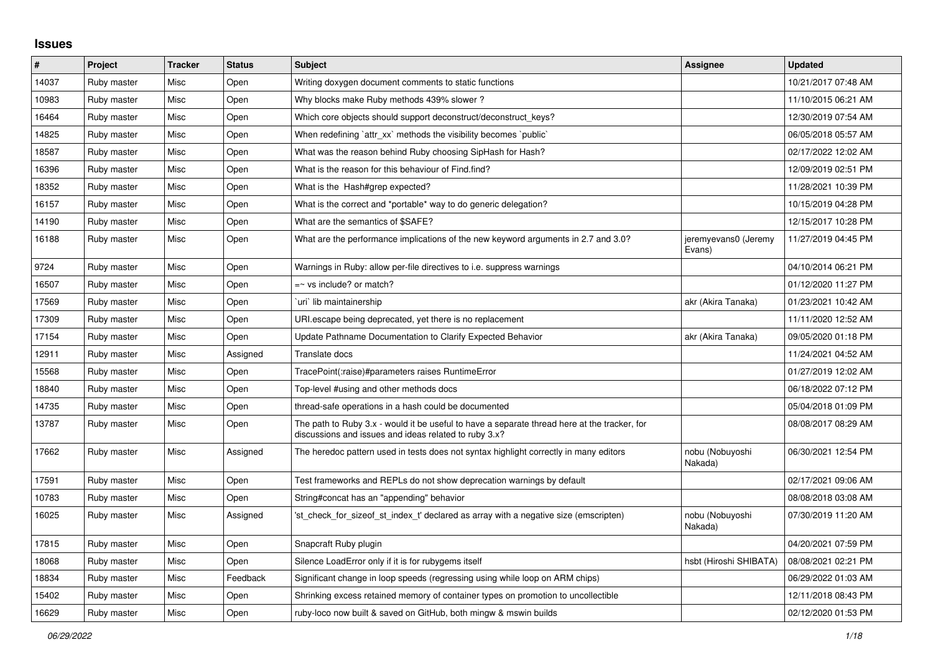## **Issues**

| $\sharp$ | Project     | <b>Tracker</b> | <b>Status</b> | <b>Subject</b>                                                                                                                                        | Assignee                       | <b>Updated</b>      |
|----------|-------------|----------------|---------------|-------------------------------------------------------------------------------------------------------------------------------------------------------|--------------------------------|---------------------|
| 14037    | Ruby master | Misc           | Open          | Writing doxygen document comments to static functions                                                                                                 |                                | 10/21/2017 07:48 AM |
| 10983    | Ruby master | Misc           | Open          | Why blocks make Ruby methods 439% slower?                                                                                                             |                                | 11/10/2015 06:21 AM |
| 16464    | Ruby master | Misc           | Open          | Which core objects should support deconstruct/deconstruct_keys?                                                                                       |                                | 12/30/2019 07:54 AM |
| 14825    | Ruby master | Misc           | Open          | When redefining 'attr xx' methods the visibility becomes 'public'                                                                                     |                                | 06/05/2018 05:57 AM |
| 18587    | Ruby master | Misc           | Open          | What was the reason behind Ruby choosing SipHash for Hash?                                                                                            |                                | 02/17/2022 12:02 AM |
| 16396    | Ruby master | Misc           | Open          | What is the reason for this behaviour of Find.find?                                                                                                   |                                | 12/09/2019 02:51 PM |
| 18352    | Ruby master | Misc           | Open          | What is the Hash#grep expected?                                                                                                                       |                                | 11/28/2021 10:39 PM |
| 16157    | Ruby master | Misc           | Open          | What is the correct and *portable* way to do generic delegation?                                                                                      |                                | 10/15/2019 04:28 PM |
| 14190    | Ruby master | Misc           | Open          | What are the semantics of \$SAFE?                                                                                                                     |                                | 12/15/2017 10:28 PM |
| 16188    | Ruby master | Misc           | Open          | What are the performance implications of the new keyword arguments in 2.7 and 3.0?                                                                    | jeremyevans0 (Jeremy<br>Evans) | 11/27/2019 04:45 PM |
| 9724     | Ruby master | Misc           | Open          | Warnings in Ruby: allow per-file directives to i.e. suppress warnings                                                                                 |                                | 04/10/2014 06:21 PM |
| 16507    | Ruby master | Misc           | Open          | $=$ vs include? or match?                                                                                                                             |                                | 01/12/2020 11:27 PM |
| 17569    | Ruby master | Misc           | Open          | uri`lib maintainership`                                                                                                                               | akr (Akira Tanaka)             | 01/23/2021 10:42 AM |
| 17309    | Ruby master | Misc           | Open          | URI escape being deprecated, yet there is no replacement                                                                                              |                                | 11/11/2020 12:52 AM |
| 17154    | Ruby master | Misc           | Open          | Update Pathname Documentation to Clarify Expected Behavior                                                                                            | akr (Akira Tanaka)             | 09/05/2020 01:18 PM |
| 12911    | Ruby master | Misc           | Assigned      | Translate docs                                                                                                                                        |                                | 11/24/2021 04:52 AM |
| 15568    | Ruby master | Misc           | Open          | TracePoint(:raise)#parameters raises RuntimeError                                                                                                     |                                | 01/27/2019 12:02 AM |
| 18840    | Ruby master | Misc           | Open          | Top-level #using and other methods docs                                                                                                               |                                | 06/18/2022 07:12 PM |
| 14735    | Ruby master | Misc           | Open          | thread-safe operations in a hash could be documented                                                                                                  |                                | 05/04/2018 01:09 PM |
| 13787    | Ruby master | Misc           | Open          | The path to Ruby 3.x - would it be useful to have a separate thread here at the tracker, for<br>discussions and issues and ideas related to ruby 3.x? |                                | 08/08/2017 08:29 AM |
| 17662    | Ruby master | Misc           | Assigned      | The heredoc pattern used in tests does not syntax highlight correctly in many editors                                                                 | nobu (Nobuyoshi<br>Nakada)     | 06/30/2021 12:54 PM |
| 17591    | Ruby master | Misc           | Open          | Test frameworks and REPLs do not show deprecation warnings by default                                                                                 |                                | 02/17/2021 09:06 AM |
| 10783    | Ruby master | Misc           | Open          | String#concat has an "appending" behavior                                                                                                             |                                | 08/08/2018 03:08 AM |
| 16025    | Ruby master | Misc           | Assigned      | 'st check for sizeof st index t' declared as array with a negative size (emscripten)                                                                  | nobu (Nobuyoshi<br>Nakada)     | 07/30/2019 11:20 AM |
| 17815    | Ruby master | Misc           | Open          | Snapcraft Ruby plugin                                                                                                                                 |                                | 04/20/2021 07:59 PM |
| 18068    | Ruby master | Misc           | Open          | Silence LoadError only if it is for rubygems itself                                                                                                   | hsbt (Hiroshi SHIBATA)         | 08/08/2021 02:21 PM |
| 18834    | Ruby master | Misc           | Feedback      | Significant change in loop speeds (regressing using while loop on ARM chips)                                                                          |                                | 06/29/2022 01:03 AM |
| 15402    | Ruby master | Misc           | Open          | Shrinking excess retained memory of container types on promotion to uncollectible                                                                     |                                | 12/11/2018 08:43 PM |
| 16629    | Ruby master | Misc           | Open          | ruby-loco now built & saved on GitHub, both mingw & mswin builds                                                                                      |                                | 02/12/2020 01:53 PM |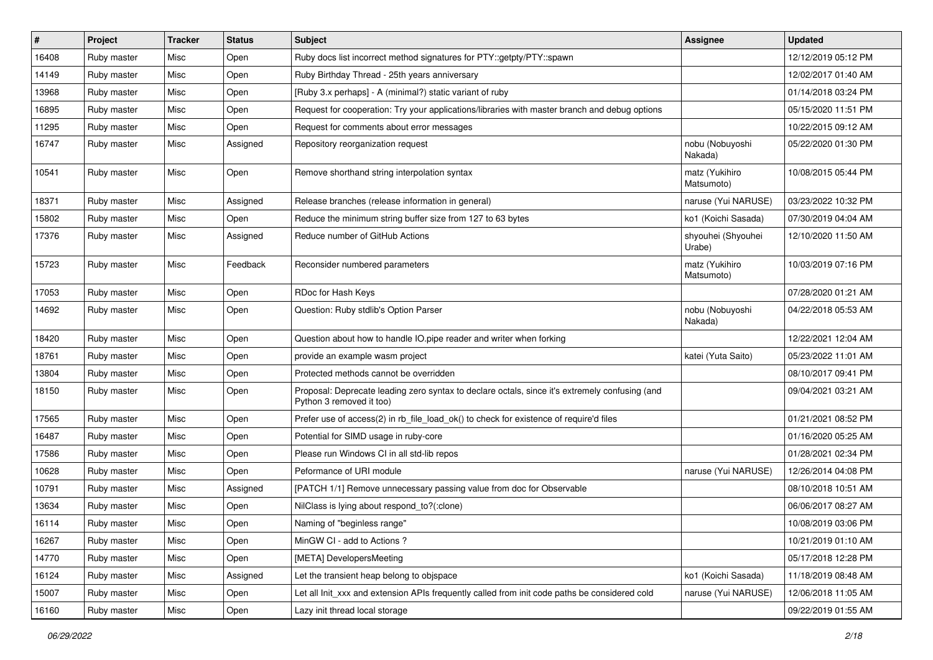| $\#$  | Project     | <b>Tracker</b> | <b>Status</b> | Subject                                                                                                                    | <b>Assignee</b>              | <b>Updated</b>      |
|-------|-------------|----------------|---------------|----------------------------------------------------------------------------------------------------------------------------|------------------------------|---------------------|
| 16408 | Ruby master | Misc           | Open          | Ruby docs list incorrect method signatures for PTY::getpty/PTY::spawn                                                      |                              | 12/12/2019 05:12 PM |
| 14149 | Ruby master | Misc           | Open          | Ruby Birthday Thread - 25th years anniversary                                                                              |                              | 12/02/2017 01:40 AM |
| 13968 | Ruby master | Misc           | Open          | [Ruby 3.x perhaps] - A (minimal?) static variant of ruby                                                                   |                              | 01/14/2018 03:24 PM |
| 16895 | Ruby master | Misc           | Open          | Request for cooperation: Try your applications/libraries with master branch and debug options                              |                              | 05/15/2020 11:51 PM |
| 11295 | Ruby master | Misc           | Open          | Request for comments about error messages                                                                                  |                              | 10/22/2015 09:12 AM |
| 16747 | Ruby master | Misc           | Assigned      | Repository reorganization request                                                                                          | nobu (Nobuyoshi<br>Nakada)   | 05/22/2020 01:30 PM |
| 10541 | Ruby master | Misc           | Open          | Remove shorthand string interpolation syntax                                                                               | matz (Yukihiro<br>Matsumoto) | 10/08/2015 05:44 PM |
| 18371 | Ruby master | Misc           | Assigned      | Release branches (release information in general)                                                                          | naruse (Yui NARUSE)          | 03/23/2022 10:32 PM |
| 15802 | Ruby master | Misc           | Open          | Reduce the minimum string buffer size from 127 to 63 bytes                                                                 | ko1 (Koichi Sasada)          | 07/30/2019 04:04 AM |
| 17376 | Ruby master | Misc           | Assigned      | Reduce number of GitHub Actions                                                                                            | shyouhei (Shyouhei<br>Urabe) | 12/10/2020 11:50 AM |
| 15723 | Ruby master | Misc           | Feedback      | Reconsider numbered parameters                                                                                             | matz (Yukihiro<br>Matsumoto) | 10/03/2019 07:16 PM |
| 17053 | Ruby master | Misc           | Open          | RDoc for Hash Keys                                                                                                         |                              | 07/28/2020 01:21 AM |
| 14692 | Ruby master | Misc           | Open          | Question: Ruby stdlib's Option Parser                                                                                      | nobu (Nobuyoshi<br>Nakada)   | 04/22/2018 05:53 AM |
| 18420 | Ruby master | Misc           | Open          | Question about how to handle IO pipe reader and writer when forking                                                        |                              | 12/22/2021 12:04 AM |
| 18761 | Ruby master | Misc           | Open          | provide an example wasm project                                                                                            | katei (Yuta Saito)           | 05/23/2022 11:01 AM |
| 13804 | Ruby master | Misc           | Open          | Protected methods cannot be overridden                                                                                     |                              | 08/10/2017 09:41 PM |
| 18150 | Ruby master | Misc           | Open          | Proposal: Deprecate leading zero syntax to declare octals, since it's extremely confusing (and<br>Python 3 removed it too) |                              | 09/04/2021 03:21 AM |
| 17565 | Ruby master | Misc           | Open          | Prefer use of access(2) in rb_file_load_ok() to check for existence of require'd files                                     |                              | 01/21/2021 08:52 PM |
| 16487 | Ruby master | Misc           | Open          | Potential for SIMD usage in ruby-core                                                                                      |                              | 01/16/2020 05:25 AM |
| 17586 | Ruby master | Misc           | Open          | Please run Windows CI in all std-lib repos                                                                                 |                              | 01/28/2021 02:34 PM |
| 10628 | Ruby master | Misc           | Open          | Peformance of URI module                                                                                                   | naruse (Yui NARUSE)          | 12/26/2014 04:08 PM |
| 10791 | Ruby master | Misc           | Assigned      | [PATCH 1/1] Remove unnecessary passing value from doc for Observable                                                       |                              | 08/10/2018 10:51 AM |
| 13634 | Ruby master | Misc           | Open          | NilClass is lying about respond_to?(:clone)                                                                                |                              | 06/06/2017 08:27 AM |
| 16114 | Ruby master | Misc           | Open          | Naming of "beginless range"                                                                                                |                              | 10/08/2019 03:06 PM |
| 16267 | Ruby master | Misc           | Open          | MinGW CI - add to Actions ?                                                                                                |                              | 10/21/2019 01:10 AM |
| 14770 | Ruby master | Misc           | Open          | [META] DevelopersMeeting                                                                                                   |                              | 05/17/2018 12:28 PM |
| 16124 | Ruby master | Misc           | Assigned      | Let the transient heap belong to objspace                                                                                  | ko1 (Koichi Sasada)          | 11/18/2019 08:48 AM |
| 15007 | Ruby master | Misc           | Open          | Let all Init xxx and extension APIs frequently called from init code paths be considered cold                              | naruse (Yui NARUSE)          | 12/06/2018 11:05 AM |
| 16160 | Ruby master | Misc           | Open          | Lazy init thread local storage                                                                                             |                              | 09/22/2019 01:55 AM |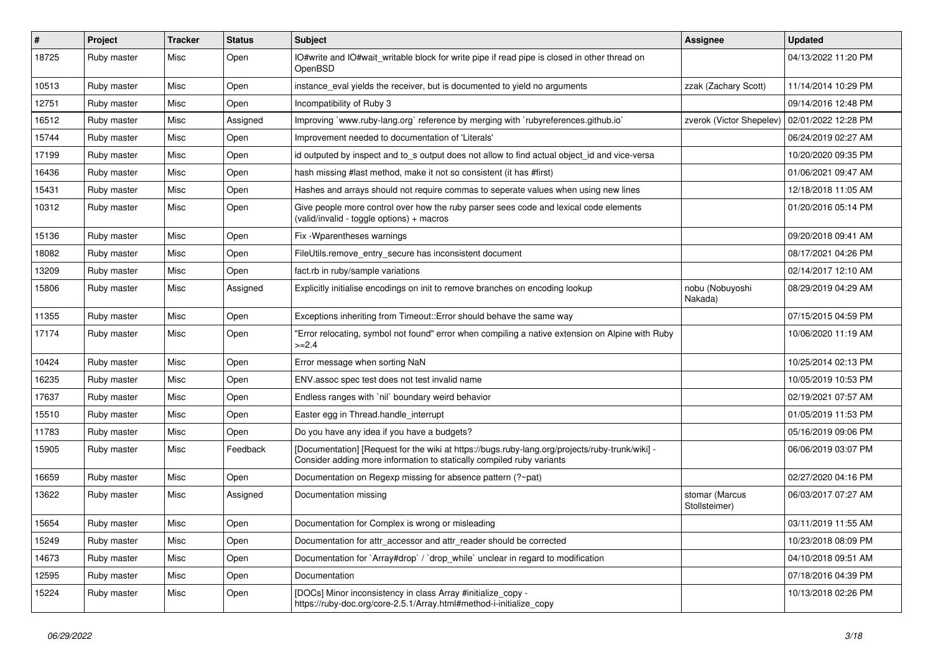| $\vert$ # | Project     | <b>Tracker</b> | <b>Status</b> | <b>Subject</b>                                                                                                                                                            | <b>Assignee</b>                 | <b>Updated</b>      |
|-----------|-------------|----------------|---------------|---------------------------------------------------------------------------------------------------------------------------------------------------------------------------|---------------------------------|---------------------|
| 18725     | Ruby master | Misc           | Open          | IO#write and IO#wait_writable block for write pipe if read pipe is closed in other thread on<br>OpenBSD                                                                   |                                 | 04/13/2022 11:20 PM |
| 10513     | Ruby master | Misc           | Open          | instance eval yields the receiver, but is documented to yield no arguments                                                                                                | zzak (Zachary Scott)            | 11/14/2014 10:29 PM |
| 12751     | Ruby master | Misc           | Open          | Incompatibility of Ruby 3                                                                                                                                                 |                                 | 09/14/2016 12:48 PM |
| 16512     | Ruby master | Misc           | Assigned      | Improving `www.ruby-lang.org` reference by merging with `rubyreferences.github.io`                                                                                        | zverok (Victor Shepelev)        | 02/01/2022 12:28 PM |
| 15744     | Ruby master | Misc           | Open          | Improvement needed to documentation of 'Literals'                                                                                                                         |                                 | 06/24/2019 02:27 AM |
| 17199     | Ruby master | Misc           | Open          | id outputed by inspect and to s output does not allow to find actual object id and vice-versa                                                                             |                                 | 10/20/2020 09:35 PM |
| 16436     | Ruby master | Misc           | Open          | hash missing #last method, make it not so consistent (it has #first)                                                                                                      |                                 | 01/06/2021 09:47 AM |
| 15431     | Ruby master | Misc           | Open          | Hashes and arrays should not require commas to seperate values when using new lines                                                                                       |                                 | 12/18/2018 11:05 AM |
| 10312     | Ruby master | Misc           | Open          | Give people more control over how the ruby parser sees code and lexical code elements<br>(valid/invalid - toggle options) + macros                                        |                                 | 01/20/2016 05:14 PM |
| 15136     | Ruby master | Misc           | Open          | Fix - Wparentheses warnings                                                                                                                                               |                                 | 09/20/2018 09:41 AM |
| 18082     | Ruby master | Misc           | Open          | FileUtils.remove entry secure has inconsistent document                                                                                                                   |                                 | 08/17/2021 04:26 PM |
| 13209     | Ruby master | Misc           | Open          | fact.rb in ruby/sample variations                                                                                                                                         |                                 | 02/14/2017 12:10 AM |
| 15806     | Ruby master | Misc           | Assigned      | Explicitly initialise encodings on init to remove branches on encoding lookup                                                                                             | nobu (Nobuyoshi<br>Nakada)      | 08/29/2019 04:29 AM |
| 11355     | Ruby master | Misc           | Open          | Exceptions inheriting from Timeout:: Error should behave the same way                                                                                                     |                                 | 07/15/2015 04:59 PM |
| 17174     | Ruby master | Misc           | Open          | "Error relocating, symbol not found" error when compiling a native extension on Alpine with Ruby<br>$>=2.4$                                                               |                                 | 10/06/2020 11:19 AM |
| 10424     | Ruby master | Misc           | Open          | Error message when sorting NaN                                                                                                                                            |                                 | 10/25/2014 02:13 PM |
| 16235     | Ruby master | Misc           | Open          | ENV assoc spec test does not test invalid name                                                                                                                            |                                 | 10/05/2019 10:53 PM |
| 17637     | Ruby master | Misc           | Open          | Endless ranges with `nil` boundary weird behavior                                                                                                                         |                                 | 02/19/2021 07:57 AM |
| 15510     | Ruby master | Misc           | Open          | Easter egg in Thread.handle interrupt                                                                                                                                     |                                 | 01/05/2019 11:53 PM |
| 11783     | Ruby master | Misc           | Open          | Do you have any idea if you have a budgets?                                                                                                                               |                                 | 05/16/2019 09:06 PM |
| 15905     | Ruby master | Misc           | Feedback      | - [Documentation] [Request for the wiki at https://bugs.ruby-lang.org/projects/ruby-trunk/wiki]]<br>Consider adding more information to statically compiled ruby variants |                                 | 06/06/2019 03:07 PM |
| 16659     | Ruby master | Misc           | Open          | Documentation on Regexp missing for absence pattern (?~pat)                                                                                                               |                                 | 02/27/2020 04:16 PM |
| 13622     | Ruby master | Misc           | Assigned      | Documentation missing                                                                                                                                                     | stomar (Marcus<br>Stollsteimer) | 06/03/2017 07:27 AM |
| 15654     | Ruby master | Misc           | Open          | Documentation for Complex is wrong or misleading                                                                                                                          |                                 | 03/11/2019 11:55 AM |
| 15249     | Ruby master | Misc           | Open          | Documentation for attr accessor and attr reader should be corrected                                                                                                       |                                 | 10/23/2018 08:09 PM |
| 14673     | Ruby master | Misc           | Open          | Documentation for `Array#drop` / `drop_while` unclear in regard to modification                                                                                           |                                 | 04/10/2018 09:51 AM |
| 12595     | Ruby master | Misc           | Open          | Documentation                                                                                                                                                             |                                 | 07/18/2016 04:39 PM |
| 15224     | Ruby master | Misc           | Open          | [DOCs] Minor inconsistency in class Array #initialize_copy -<br>https://ruby-doc.org/core-2.5.1/Array.html#method-i-initialize_copy                                       |                                 | 10/13/2018 02:26 PM |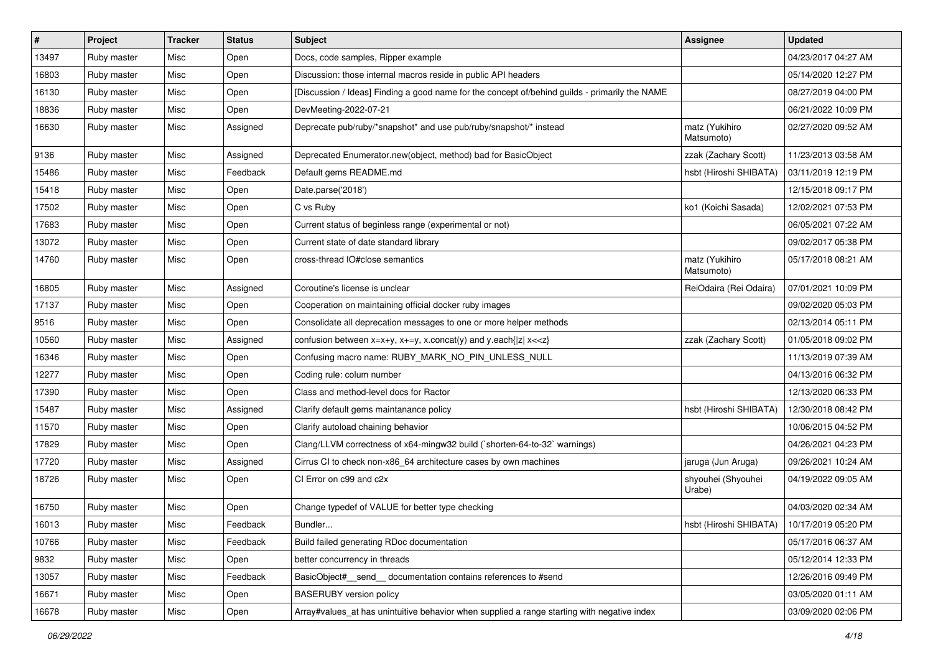| $\vert$ # | Project     | <b>Tracker</b> | <b>Status</b> | Subject                                                                                                                                 | Assignee                     | <b>Updated</b>      |
|-----------|-------------|----------------|---------------|-----------------------------------------------------------------------------------------------------------------------------------------|------------------------------|---------------------|
| 13497     | Ruby master | Misc           | Open          | Docs, code samples, Ripper example                                                                                                      |                              | 04/23/2017 04:27 AM |
| 16803     | Ruby master | Misc           | Open          | Discussion: those internal macros reside in public API headers                                                                          |                              | 05/14/2020 12:27 PM |
| 16130     | Ruby master | Misc           | Open          | [Discussion / Ideas] Finding a good name for the concept of/behind guilds - primarily the NAME                                          |                              | 08/27/2019 04:00 PM |
| 18836     | Ruby master | Misc           | Open          | DevMeeting-2022-07-21                                                                                                                   |                              | 06/21/2022 10:09 PM |
| 16630     | Ruby master | Misc           | Assigned      | Deprecate pub/ruby/*snapshot* and use pub/ruby/snapshot/* instead                                                                       | matz (Yukihiro<br>Matsumoto) | 02/27/2020 09:52 AM |
| 9136      | Ruby master | Misc           | Assigned      | Deprecated Enumerator.new(object, method) bad for BasicObject                                                                           | zzak (Zachary Scott)         | 11/23/2013 03:58 AM |
| 15486     | Ruby master | Misc           | Feedback      | Default gems README.md                                                                                                                  | hsbt (Hiroshi SHIBATA)       | 03/11/2019 12:19 PM |
| 15418     | Ruby master | Misc           | Open          | Date.parse('2018')                                                                                                                      |                              | 12/15/2018 09:17 PM |
| 17502     | Ruby master | Misc           | Open          | C vs Ruby                                                                                                                               | ko1 (Koichi Sasada)          | 12/02/2021 07:53 PM |
| 17683     | Ruby master | Misc           | Open          | Current status of beginless range (experimental or not)                                                                                 |                              | 06/05/2021 07:22 AM |
| 13072     | Ruby master | Misc           | Open          | Current state of date standard library                                                                                                  |                              | 09/02/2017 05:38 PM |
| 14760     | Ruby master | Misc           | Open          | cross-thread IO#close semantics                                                                                                         | matz (Yukihiro<br>Matsumoto) | 05/17/2018 08:21 AM |
| 16805     | Ruby master | Misc           | Assigned      | Coroutine's license is unclear                                                                                                          | ReiOdaira (Rei Odaira)       | 07/01/2021 10:09 PM |
| 17137     | Ruby master | Misc           | Open          | Cooperation on maintaining official docker ruby images                                                                                  |                              | 09/02/2020 05:03 PM |
| 9516      | Ruby master | Misc           | Open          | Consolidate all deprecation messages to one or more helper methods                                                                      |                              | 02/13/2014 05:11 PM |
| 10560     | Ruby master | Misc           | Assigned      | confusion between x=x+y, x+=y, x.concat(y) and y.each{ z  x< <z}< td=""><td>zzak (Zachary Scott)</td><td>01/05/2018 09:02 PM</td></z}<> | zzak (Zachary Scott)         | 01/05/2018 09:02 PM |
| 16346     | Ruby master | Misc           | Open          | Confusing macro name: RUBY_MARK_NO_PIN_UNLESS_NULL                                                                                      |                              | 11/13/2019 07:39 AM |
| 12277     | Ruby master | Misc           | Open          | Coding rule: colum number                                                                                                               |                              | 04/13/2016 06:32 PM |
| 17390     | Ruby master | Misc           | Open          | Class and method-level docs for Ractor                                                                                                  |                              | 12/13/2020 06:33 PM |
| 15487     | Ruby master | Misc           | Assigned      | Clarify default gems maintanance policy                                                                                                 | hsbt (Hiroshi SHIBATA)       | 12/30/2018 08:42 PM |
| 11570     | Ruby master | Misc           | Open          | Clarify autoload chaining behavior                                                                                                      |                              | 10/06/2015 04:52 PM |
| 17829     | Ruby master | Misc           | Open          | Clang/LLVM correctness of x64-mingw32 build (`shorten-64-to-32` warnings)                                                               |                              | 04/26/2021 04:23 PM |
| 17720     | Ruby master | Misc           | Assigned      | Cirrus CI to check non-x86_64 architecture cases by own machines                                                                        | jaruga (Jun Aruga)           | 09/26/2021 10:24 AM |
| 18726     | Ruby master | Misc           | Open          | CI Error on c99 and c2x                                                                                                                 | shyouhei (Shyouhei<br>Urabe) | 04/19/2022 09:05 AM |
| 16750     | Ruby master | Misc           | Open          | Change typedef of VALUE for better type checking                                                                                        |                              | 04/03/2020 02:34 AM |
| 16013     | Ruby master | Misc           | Feedback      | Bundler                                                                                                                                 | hsbt (Hiroshi SHIBATA)       | 10/17/2019 05:20 PM |
| 10766     | Ruby master | Misc           | Feedback      | Build failed generating RDoc documentation                                                                                              |                              | 05/17/2016 06:37 AM |
| 9832      | Ruby master | Misc           | Open          | better concurrency in threads                                                                                                           |                              | 05/12/2014 12:33 PM |
| 13057     | Ruby master | Misc           | Feedback      | BasicObject#_send_ documentation contains references to #send                                                                           |                              | 12/26/2016 09:49 PM |
| 16671     | Ruby master | Misc           | Open          | <b>BASERUBY</b> version policy                                                                                                          |                              | 03/05/2020 01:11 AM |
| 16678     | Ruby master | Misc           | Open          | Array#values_at has unintuitive behavior when supplied a range starting with negative index                                             |                              | 03/09/2020 02:06 PM |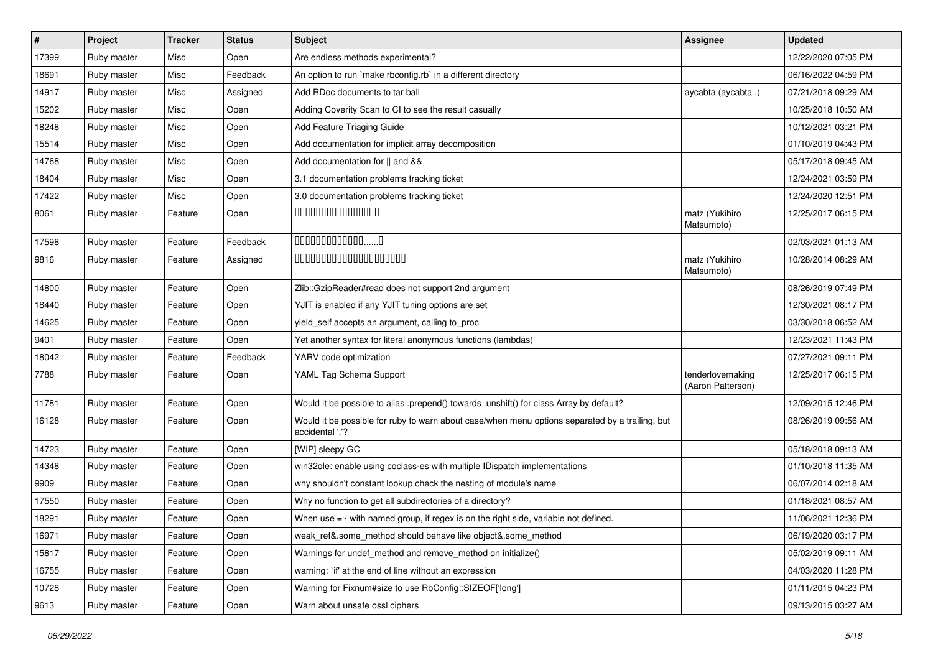| #     | Project     | <b>Tracker</b> | <b>Status</b> | Subject                                                                                                            | Assignee                              | <b>Updated</b>      |
|-------|-------------|----------------|---------------|--------------------------------------------------------------------------------------------------------------------|---------------------------------------|---------------------|
| 17399 | Ruby master | Misc           | Open          | Are endless methods experimental?                                                                                  |                                       | 12/22/2020 07:05 PM |
| 18691 | Ruby master | Misc           | Feedback      | An option to run `make rbconfig.rb` in a different directory                                                       |                                       | 06/16/2022 04:59 PM |
| 14917 | Ruby master | Misc           | Assigned      | Add RDoc documents to tar ball                                                                                     | aycabta (aycabta.)                    | 07/21/2018 09:29 AM |
| 15202 | Ruby master | Misc           | Open          | Adding Coverity Scan to CI to see the result casually                                                              |                                       | 10/25/2018 10:50 AM |
| 18248 | Ruby master | Misc           | Open          | Add Feature Triaging Guide                                                                                         |                                       | 10/12/2021 03:21 PM |
| 15514 | Ruby master | Misc           | Open          | Add documentation for implicit array decomposition                                                                 |                                       | 01/10/2019 04:43 PM |
| 14768 | Ruby master | Misc           | Open          | Add documentation for    and &&                                                                                    |                                       | 05/17/2018 09:45 AM |
| 18404 | Ruby master | Misc           | Open          | 3.1 documentation problems tracking ticket                                                                         |                                       | 12/24/2021 03:59 PM |
| 17422 | Ruby master | Misc           | Open          | 3.0 documentation problems tracking ticket                                                                         |                                       | 12/24/2020 12:51 PM |
| 8061  | Ruby master | Feature        | Open          | 000000000000000                                                                                                    | matz (Yukihiro<br>Matsumoto)          | 12/25/2017 06:15 PM |
| 17598 | Ruby master | Feature        | Feedback      | $0000000000000010$                                                                                                 |                                       | 02/03/2021 01:13 AM |
| 9816  | Ruby master | Feature        | Assigned      | 00000000000000000000                                                                                               | matz (Yukihiro<br>Matsumoto)          | 10/28/2014 08:29 AM |
| 14800 | Ruby master | Feature        | Open          | Zlib::GzipReader#read does not support 2nd argument                                                                |                                       | 08/26/2019 07:49 PM |
| 18440 | Ruby master | Feature        | Open          | YJIT is enabled if any YJIT tuning options are set                                                                 |                                       | 12/30/2021 08:17 PM |
| 14625 | Ruby master | Feature        | Open          | yield_self accepts an argument, calling to_proc                                                                    |                                       | 03/30/2018 06:52 AM |
| 9401  | Ruby master | Feature        | Open          | Yet another syntax for literal anonymous functions (lambdas)                                                       |                                       | 12/23/2021 11:43 PM |
| 18042 | Ruby master | Feature        | Feedback      | YARV code optimization                                                                                             |                                       | 07/27/2021 09:11 PM |
| 7788  | Ruby master | Feature        | Open          | YAML Tag Schema Support                                                                                            | tenderlovemaking<br>(Aaron Patterson) | 12/25/2017 06:15 PM |
| 11781 | Ruby master | Feature        | Open          | Would it be possible to alias .prepend() towards .unshift() for class Array by default?                            |                                       | 12/09/2015 12:46 PM |
| 16128 | Ruby master | Feature        | Open          | Would it be possible for ruby to warn about case/when menu options separated by a trailing, but<br>accidental ','? |                                       | 08/26/2019 09:56 AM |
| 14723 | Ruby master | Feature        | Open          | [WIP] sleepy GC                                                                                                    |                                       | 05/18/2018 09:13 AM |
| 14348 | Ruby master | Feature        | Open          | win32ole: enable using coclass-es with multiple IDispatch implementations                                          |                                       | 01/10/2018 11:35 AM |
| 9909  | Ruby master | Feature        | Open          | why shouldn't constant lookup check the nesting of module's name                                                   |                                       | 06/07/2014 02:18 AM |
| 17550 | Ruby master | Feature        | Open          | Why no function to get all subdirectories of a directory?                                                          |                                       | 01/18/2021 08:57 AM |
| 18291 | Ruby master | Feature        | Open          | When use $=\sim$ with named group, if regex is on the right side, variable not defined.                            |                                       | 11/06/2021 12:36 PM |
| 16971 | Ruby master | Feature        | Open          | weak_ref&.some_method should behave like object&.some_method                                                       |                                       | 06/19/2020 03:17 PM |
| 15817 | Ruby master | Feature        | Open          | Warnings for undef method and remove method on initialize()                                                        |                                       | 05/02/2019 09:11 AM |
| 16755 | Ruby master | Feature        | Open          | warning: `if' at the end of line without an expression                                                             |                                       | 04/03/2020 11:28 PM |
| 10728 | Ruby master | Feature        | Open          | Warning for Fixnum#size to use RbConfig::SIZEOF['long']                                                            |                                       | 01/11/2015 04:23 PM |
| 9613  | Ruby master | Feature        | Open          | Warn about unsafe ossl ciphers                                                                                     |                                       | 09/13/2015 03:27 AM |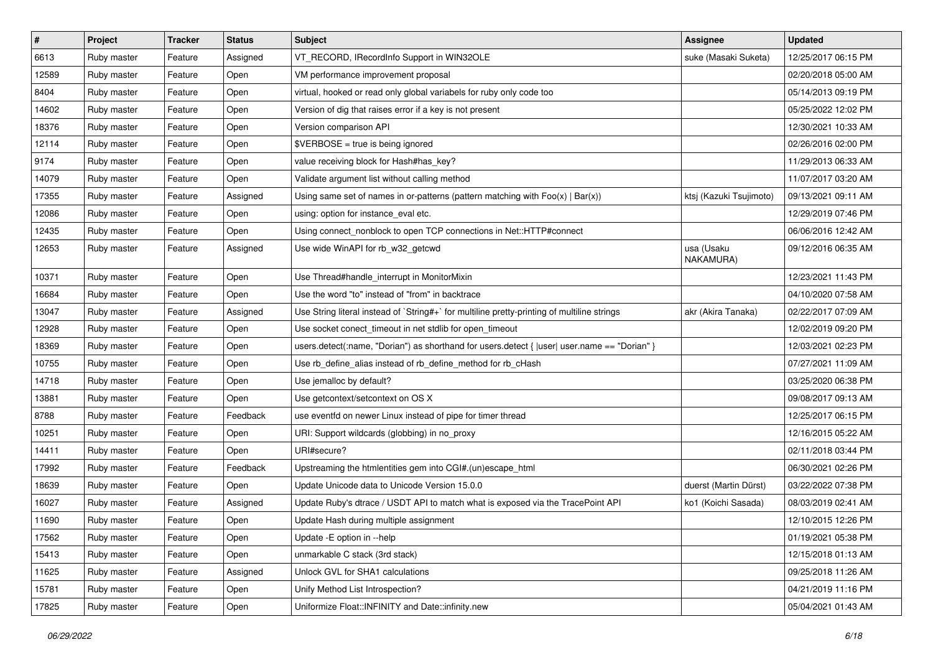| $\sharp$ | <b>Project</b> | <b>Tracker</b> | <b>Status</b> | Subject                                                                                      | Assignee                | <b>Updated</b>      |
|----------|----------------|----------------|---------------|----------------------------------------------------------------------------------------------|-------------------------|---------------------|
| 6613     | Ruby master    | Feature        | Assigned      | VT_RECORD, IRecordInfo Support in WIN32OLE                                                   | suke (Masaki Suketa)    | 12/25/2017 06:15 PM |
| 12589    | Ruby master    | Feature        | Open          | VM performance improvement proposal                                                          |                         | 02/20/2018 05:00 AM |
| 8404     | Ruby master    | Feature        | Open          | virtual, hooked or read only global variabels for ruby only code too                         |                         | 05/14/2013 09:19 PM |
| 14602    | Ruby master    | Feature        | Open          | Version of dig that raises error if a key is not present                                     |                         | 05/25/2022 12:02 PM |
| 18376    | Ruby master    | Feature        | Open          | Version comparison API                                                                       |                         | 12/30/2021 10:33 AM |
| 12114    | Ruby master    | Feature        | Open          | \$VERBOSE = true is being ignored                                                            |                         | 02/26/2016 02:00 PM |
| 9174     | Ruby master    | Feature        | Open          | value receiving block for Hash#has_key?                                                      |                         | 11/29/2013 06:33 AM |
| 14079    | Ruby master    | Feature        | Open          | Validate argument list without calling method                                                |                         | 11/07/2017 03:20 AM |
| 17355    | Ruby master    | Feature        | Assigned      | Using same set of names in or-patterns (pattern matching with $Foo(x)   Bar(x)$ )            | ktsj (Kazuki Tsujimoto) | 09/13/2021 09:11 AM |
| 12086    | Ruby master    | Feature        | Open          | using: option for instance_eval etc.                                                         |                         | 12/29/2019 07:46 PM |
| 12435    | Ruby master    | Feature        | Open          | Using connect_nonblock to open TCP connections in Net::HTTP#connect                          |                         | 06/06/2016 12:42 AM |
| 12653    | Ruby master    | Feature        | Assigned      | Use wide WinAPI for rb_w32_getcwd                                                            | usa (Usaku<br>NAKAMURA) | 09/12/2016 06:35 AM |
| 10371    | Ruby master    | Feature        | Open          | Use Thread#handle_interrupt in MonitorMixin                                                  |                         | 12/23/2021 11:43 PM |
| 16684    | Ruby master    | Feature        | Open          | Use the word "to" instead of "from" in backtrace                                             |                         | 04/10/2020 07:58 AM |
| 13047    | Ruby master    | Feature        | Assigned      | Use String literal instead of `String#+` for multiline pretty-printing of multiline strings  | akr (Akira Tanaka)      | 02/22/2017 07:09 AM |
| 12928    | Ruby master    | Feature        | Open          | Use socket conect_timeout in net stdlib for open_timeout                                     |                         | 12/02/2019 09:20 PM |
| 18369    | Ruby master    | Feature        | Open          | users.detect(:name, "Dorian") as shorthand for users.detect {  user  user.name == "Dorian" } |                         | 12/03/2021 02:23 PM |
| 10755    | Ruby master    | Feature        | Open          | Use rb_define_alias instead of rb_define_method for rb_cHash                                 |                         | 07/27/2021 11:09 AM |
| 14718    | Ruby master    | Feature        | Open          | Use jemalloc by default?                                                                     |                         | 03/25/2020 06:38 PM |
| 13881    | Ruby master    | Feature        | Open          | Use getcontext/setcontext on OS X                                                            |                         | 09/08/2017 09:13 AM |
| 8788     | Ruby master    | Feature        | Feedback      | use eventfd on newer Linux instead of pipe for timer thread                                  |                         | 12/25/2017 06:15 PM |
| 10251    | Ruby master    | Feature        | Open          | URI: Support wildcards (globbing) in no_proxy                                                |                         | 12/16/2015 05:22 AM |
| 14411    | Ruby master    | Feature        | Open          | URI#secure?                                                                                  |                         | 02/11/2018 03:44 PM |
| 17992    | Ruby master    | Feature        | Feedback      | Upstreaming the htmlentities gem into CGI#.(un)escape_html                                   |                         | 06/30/2021 02:26 PM |
| 18639    | Ruby master    | Feature        | Open          | Update Unicode data to Unicode Version 15.0.0                                                | duerst (Martin Dürst)   | 03/22/2022 07:38 PM |
| 16027    | Ruby master    | Feature        | Assigned      | Update Ruby's dtrace / USDT API to match what is exposed via the TracePoint API              | ko1 (Koichi Sasada)     | 08/03/2019 02:41 AM |
| 11690    | Ruby master    | Feature        | Open          | Update Hash during multiple assignment                                                       |                         | 12/10/2015 12:26 PM |
| 17562    | Ruby master    | Feature        | Open          | Update - E option in --help                                                                  |                         | 01/19/2021 05:38 PM |
| 15413    | Ruby master    | Feature        | Open          | unmarkable C stack (3rd stack)                                                               |                         | 12/15/2018 01:13 AM |
| 11625    | Ruby master    | Feature        | Assigned      | Unlock GVL for SHA1 calculations                                                             |                         | 09/25/2018 11:26 AM |
| 15781    | Ruby master    | Feature        | Open          | Unify Method List Introspection?                                                             |                         | 04/21/2019 11:16 PM |
| 17825    | Ruby master    | Feature        | Open          | Uniformize Float::INFINITY and Date::infinity.new                                            |                         | 05/04/2021 01:43 AM |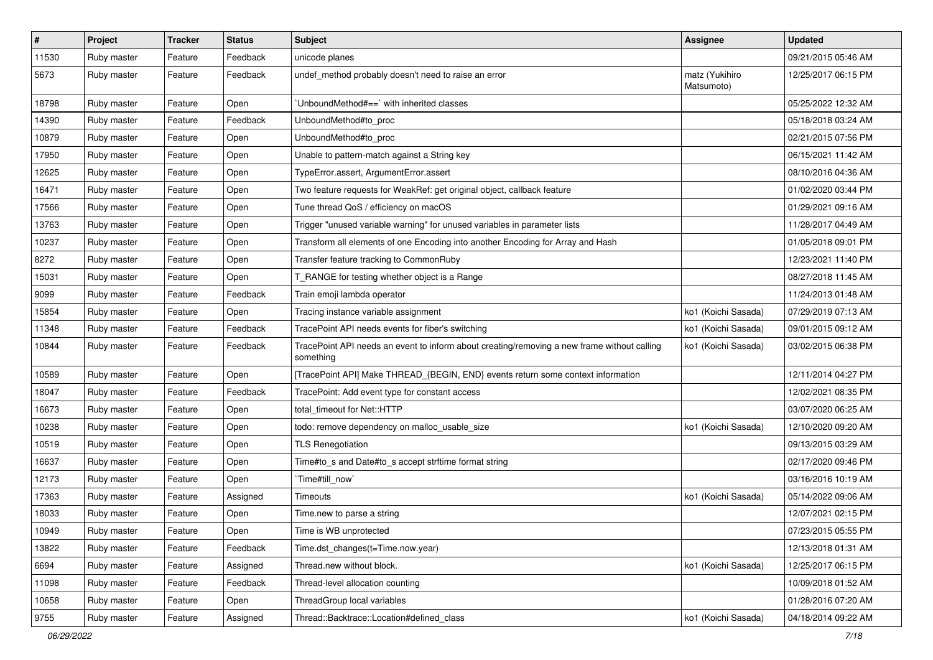| $\sharp$ | Project     | <b>Tracker</b> | <b>Status</b> | Subject                                                                                                  | Assignee                     | <b>Updated</b>      |
|----------|-------------|----------------|---------------|----------------------------------------------------------------------------------------------------------|------------------------------|---------------------|
| 11530    | Ruby master | Feature        | Feedback      | unicode planes                                                                                           |                              | 09/21/2015 05:46 AM |
| 5673     | Ruby master | Feature        | Feedback      | undef_method probably doesn't need to raise an error                                                     | matz (Yukihiro<br>Matsumoto) | 12/25/2017 06:15 PM |
| 18798    | Ruby master | Feature        | Open          | 'UnboundMethod#==' with inherited classes                                                                |                              | 05/25/2022 12:32 AM |
| 14390    | Ruby master | Feature        | Feedback      | UnboundMethod#to_proc                                                                                    |                              | 05/18/2018 03:24 AM |
| 10879    | Ruby master | Feature        | Open          | UnboundMethod#to_proc                                                                                    |                              | 02/21/2015 07:56 PM |
| 17950    | Ruby master | Feature        | Open          | Unable to pattern-match against a String key                                                             |                              | 06/15/2021 11:42 AM |
| 12625    | Ruby master | Feature        | Open          | TypeError.assert, ArgumentError.assert                                                                   |                              | 08/10/2016 04:36 AM |
| 16471    | Ruby master | Feature        | Open          | Two feature requests for WeakRef: get original object, callback feature                                  |                              | 01/02/2020 03:44 PM |
| 17566    | Ruby master | Feature        | Open          | Tune thread QoS / efficiency on macOS                                                                    |                              | 01/29/2021 09:16 AM |
| 13763    | Ruby master | Feature        | Open          | Trigger "unused variable warning" for unused variables in parameter lists                                |                              | 11/28/2017 04:49 AM |
| 10237    | Ruby master | Feature        | Open          | Transform all elements of one Encoding into another Encoding for Array and Hash                          |                              | 01/05/2018 09:01 PM |
| 8272     | Ruby master | Feature        | Open          | Transfer feature tracking to CommonRuby                                                                  |                              | 12/23/2021 11:40 PM |
| 15031    | Ruby master | Feature        | Open          | RANGE for testing whether object is a Range                                                              |                              | 08/27/2018 11:45 AM |
| 9099     | Ruby master | Feature        | Feedback      | Train emoji lambda operator                                                                              |                              | 11/24/2013 01:48 AM |
| 15854    | Ruby master | Feature        | Open          | Tracing instance variable assignment                                                                     | ko1 (Koichi Sasada)          | 07/29/2019 07:13 AM |
| 11348    | Ruby master | Feature        | Feedback      | TracePoint API needs events for fiber's switching                                                        | ko1 (Koichi Sasada)          | 09/01/2015 09:12 AM |
| 10844    | Ruby master | Feature        | Feedback      | TracePoint API needs an event to inform about creating/removing a new frame without calling<br>something | ko1 (Koichi Sasada)          | 03/02/2015 06:38 PM |
| 10589    | Ruby master | Feature        | Open          | [TracePoint API] Make THREAD_{BEGIN, END} events return some context information                         |                              | 12/11/2014 04:27 PM |
| 18047    | Ruby master | Feature        | Feedback      | TracePoint: Add event type for constant access                                                           |                              | 12/02/2021 08:35 PM |
| 16673    | Ruby master | Feature        | Open          | total_timeout for Net::HTTP                                                                              |                              | 03/07/2020 06:25 AM |
| 10238    | Ruby master | Feature        | Open          | todo: remove dependency on malloc_usable_size                                                            | ko1 (Koichi Sasada)          | 12/10/2020 09:20 AM |
| 10519    | Ruby master | Feature        | Open          | <b>TLS Renegotiation</b>                                                                                 |                              | 09/13/2015 03:29 AM |
| 16637    | Ruby master | Feature        | Open          | Time#to_s and Date#to_s accept strftime format string                                                    |                              | 02/17/2020 09:46 PM |
| 12173    | Ruby master | Feature        | Open          | Time#till_now`                                                                                           |                              | 03/16/2016 10:19 AM |
| 17363    | Ruby master | Feature        | Assigned      | Timeouts                                                                                                 | ko1 (Koichi Sasada)          | 05/14/2022 09:06 AM |
| 18033    | Ruby master | Feature        | Open          | Time.new to parse a string                                                                               |                              | 12/07/2021 02:15 PM |
| 10949    | Ruby master | Feature        | Open          | Time is WB unprotected                                                                                   |                              | 07/23/2015 05:55 PM |
| 13822    | Ruby master | Feature        | Feedback      | Time.dst_changes(t=Time.now.year)                                                                        |                              | 12/13/2018 01:31 AM |
| 6694     | Ruby master | Feature        | Assigned      | Thread.new without block.                                                                                | ko1 (Koichi Sasada)          | 12/25/2017 06:15 PM |
| 11098    | Ruby master | Feature        | Feedback      | Thread-level allocation counting                                                                         |                              | 10/09/2018 01:52 AM |
| 10658    | Ruby master | Feature        | Open          | ThreadGroup local variables                                                                              |                              | 01/28/2016 07:20 AM |
| 9755     | Ruby master | Feature        | Assigned      | Thread::Backtrace::Location#defined class                                                                | ko1 (Koichi Sasada)          | 04/18/2014 09:22 AM |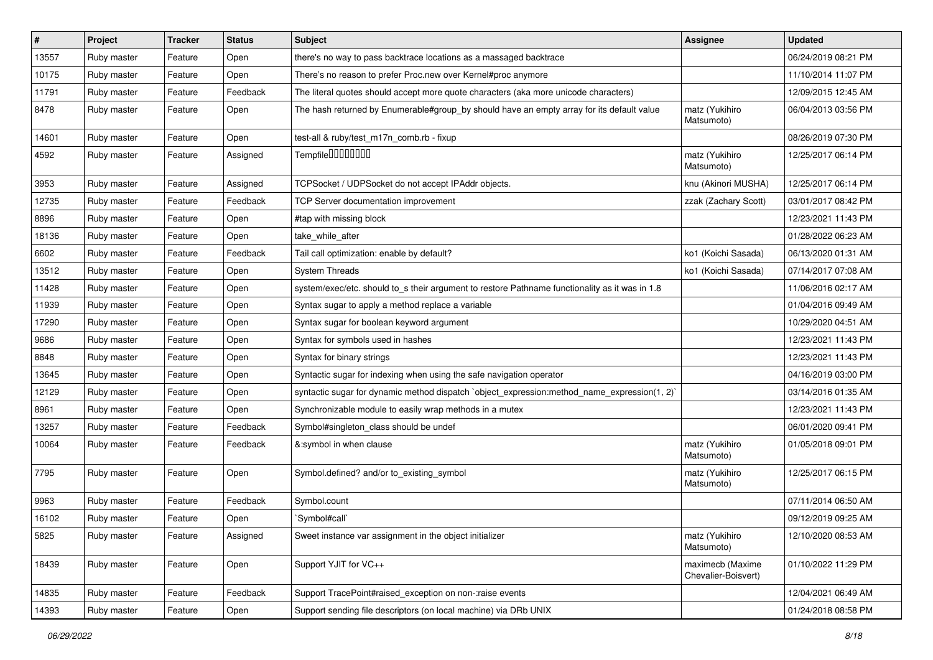| $\vert$ # | Project     | <b>Tracker</b> | <b>Status</b> | <b>Subject</b>                                                                                 | <b>Assignee</b>                         | <b>Updated</b>      |
|-----------|-------------|----------------|---------------|------------------------------------------------------------------------------------------------|-----------------------------------------|---------------------|
| 13557     | Ruby master | Feature        | Open          | there's no way to pass backtrace locations as a massaged backtrace                             |                                         | 06/24/2019 08:21 PM |
| 10175     | Ruby master | Feature        | Open          | There's no reason to prefer Proc.new over Kernel#proc anymore                                  |                                         | 11/10/2014 11:07 PM |
| 11791     | Ruby master | Feature        | Feedback      | The literal quotes should accept more quote characters (aka more unicode characters)           |                                         | 12/09/2015 12:45 AM |
| 8478      | Ruby master | Feature        | Open          | The hash returned by Enumerable#group by should have an empty array for its default value      | matz (Yukihiro<br>Matsumoto)            | 06/04/2013 03:56 PM |
| 14601     | Ruby master | Feature        | Open          | test-all & ruby/test m17n comb.rb - fixup                                                      |                                         | 08/26/2019 07:30 PM |
| 4592      | Ruby master | Feature        | Assigned      | Tempfile <sup>[1010101011]</sup>                                                               | matz (Yukihiro<br>Matsumoto)            | 12/25/2017 06:14 PM |
| 3953      | Ruby master | Feature        | Assigned      | TCPSocket / UDPSocket do not accept IPAddr objects.                                            | knu (Akinori MUSHA)                     | 12/25/2017 06:14 PM |
| 12735     | Ruby master | Feature        | Feedback      | TCP Server documentation improvement                                                           | zzak (Zachary Scott)                    | 03/01/2017 08:42 PM |
| 8896      | Ruby master | Feature        | Open          | #tap with missing block                                                                        |                                         | 12/23/2021 11:43 PM |
| 18136     | Ruby master | Feature        | Open          | take_while_after                                                                               |                                         | 01/28/2022 06:23 AM |
| 6602      | Ruby master | Feature        | Feedback      | Tail call optimization: enable by default?                                                     | ko1 (Koichi Sasada)                     | 06/13/2020 01:31 AM |
| 13512     | Ruby master | Feature        | Open          | <b>System Threads</b>                                                                          | ko1 (Koichi Sasada)                     | 07/14/2017 07:08 AM |
| 11428     | Ruby master | Feature        | Open          | system/exec/etc. should to_s their argument to restore Pathname functionality as it was in 1.8 |                                         | 11/06/2016 02:17 AM |
| 11939     | Ruby master | Feature        | Open          | Syntax sugar to apply a method replace a variable                                              |                                         | 01/04/2016 09:49 AM |
| 17290     | Ruby master | Feature        | Open          | Syntax sugar for boolean keyword argument                                                      |                                         | 10/29/2020 04:51 AM |
| 9686      | Ruby master | Feature        | Open          | Syntax for symbols used in hashes                                                              |                                         | 12/23/2021 11:43 PM |
| 8848      | Ruby master | Feature        | Open          | Syntax for binary strings                                                                      |                                         | 12/23/2021 11:43 PM |
| 13645     | Ruby master | Feature        | Open          | Syntactic sugar for indexing when using the safe navigation operator                           |                                         | 04/16/2019 03:00 PM |
| 12129     | Ruby master | Feature        | Open          | syntactic sugar for dynamic method dispatch `object_expression:method_name_expression(1, 2)`   |                                         | 03/14/2016 01:35 AM |
| 8961      | Ruby master | Feature        | Open          | Synchronizable module to easily wrap methods in a mutex                                        |                                         | 12/23/2021 11:43 PM |
| 13257     | Ruby master | Feature        | Feedback      | Symbol#singleton_class should be undef                                                         |                                         | 06/01/2020 09:41 PM |
| 10064     | Ruby master | Feature        | Feedback      | &:symbol in when clause                                                                        | matz (Yukihiro<br>Matsumoto)            | 01/05/2018 09:01 PM |
| 7795      | Ruby master | Feature        | Open          | Symbol.defined? and/or to_existing_symbol                                                      | matz (Yukihiro<br>Matsumoto)            | 12/25/2017 06:15 PM |
| 9963      | Ruby master | Feature        | Feedback      | Symbol.count                                                                                   |                                         | 07/11/2014 06:50 AM |
| 16102     | Ruby master | Feature        | Open          | 'Symbol#call'                                                                                  |                                         | 09/12/2019 09:25 AM |
| 5825      | Ruby master | Feature        | Assigned      | Sweet instance var assignment in the object initializer                                        | matz (Yukihiro<br>Matsumoto)            | 12/10/2020 08:53 AM |
| 18439     | Ruby master | Feature        | Open          | Support YJIT for VC++                                                                          | maximecb (Maxime<br>Chevalier-Boisvert) | 01/10/2022 11:29 PM |
| 14835     | Ruby master | Feature        | Feedback      | Support TracePoint#raised_exception on non-:raise events                                       |                                         | 12/04/2021 06:49 AM |
| 14393     | Ruby master | Feature        | Open          | Support sending file descriptors (on local machine) via DRb UNIX                               |                                         | 01/24/2018 08:58 PM |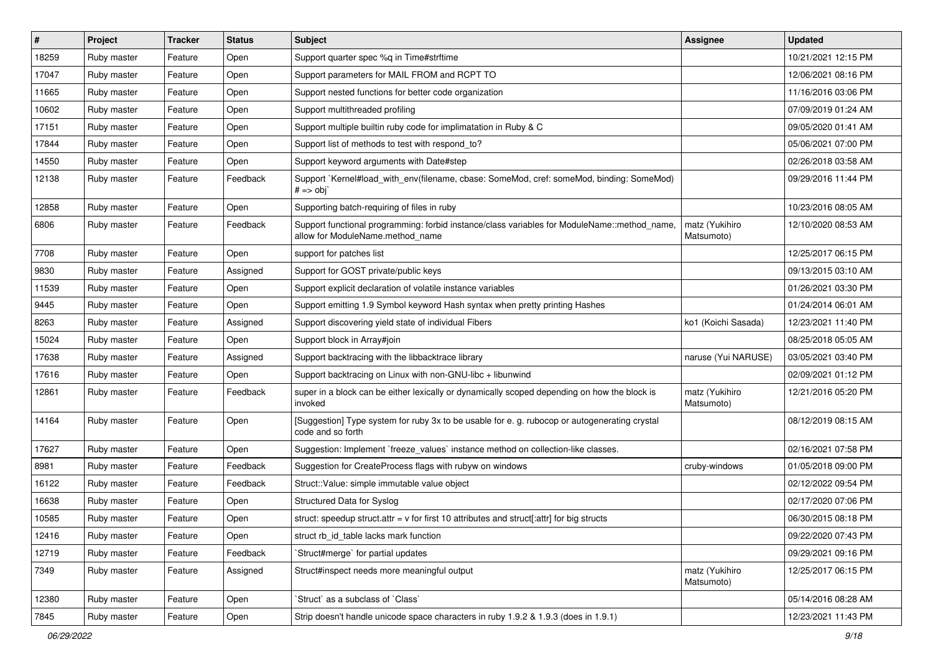| #     | <b>Project</b> | <b>Tracker</b> | <b>Status</b> | Subject                                                                                                                          | Assignee                     | <b>Updated</b>      |
|-------|----------------|----------------|---------------|----------------------------------------------------------------------------------------------------------------------------------|------------------------------|---------------------|
| 18259 | Ruby master    | Feature        | Open          | Support quarter spec %q in Time#strftime                                                                                         |                              | 10/21/2021 12:15 PM |
| 17047 | Ruby master    | Feature        | Open          | Support parameters for MAIL FROM and RCPT TO                                                                                     |                              | 12/06/2021 08:16 PM |
| 11665 | Ruby master    | Feature        | Open          | Support nested functions for better code organization                                                                            |                              | 11/16/2016 03:06 PM |
| 10602 | Ruby master    | Feature        | Open          | Support multithreaded profiling                                                                                                  |                              | 07/09/2019 01:24 AM |
| 17151 | Ruby master    | Feature        | Open          | Support multiple builtin ruby code for implimatation in Ruby & C                                                                 |                              | 09/05/2020 01:41 AM |
| 17844 | Ruby master    | Feature        | Open          | Support list of methods to test with respond to?                                                                                 |                              | 05/06/2021 07:00 PM |
| 14550 | Ruby master    | Feature        | Open          | Support keyword arguments with Date#step                                                                                         |                              | 02/26/2018 03:58 AM |
| 12138 | Ruby master    | Feature        | Feedback      | Support `Kernel#load_with_env(filename, cbase: SomeMod, cref: someMod, binding: SomeMod)<br>$# ==$ obj                           |                              | 09/29/2016 11:44 PM |
| 12858 | Ruby master    | Feature        | Open          | Supporting batch-requiring of files in ruby                                                                                      |                              | 10/23/2016 08:05 AM |
| 6806  | Ruby master    | Feature        | Feedback      | Support functional programming: forbid instance/class variables for ModuleName::method_name,<br>allow for ModuleName.method_name | matz (Yukihiro<br>Matsumoto) | 12/10/2020 08:53 AM |
| 7708  | Ruby master    | Feature        | Open          | support for patches list                                                                                                         |                              | 12/25/2017 06:15 PM |
| 9830  | Ruby master    | Feature        | Assigned      | Support for GOST private/public keys                                                                                             |                              | 09/13/2015 03:10 AM |
| 11539 | Ruby master    | Feature        | Open          | Support explicit declaration of volatile instance variables                                                                      |                              | 01/26/2021 03:30 PM |
| 9445  | Ruby master    | Feature        | Open          | Support emitting 1.9 Symbol keyword Hash syntax when pretty printing Hashes                                                      |                              | 01/24/2014 06:01 AM |
| 8263  | Ruby master    | Feature        | Assigned      | Support discovering yield state of individual Fibers                                                                             | ko1 (Koichi Sasada)          | 12/23/2021 11:40 PM |
| 15024 | Ruby master    | Feature        | Open          | Support block in Array#join                                                                                                      |                              | 08/25/2018 05:05 AM |
| 17638 | Ruby master    | Feature        | Assigned      | Support backtracing with the libbacktrace library                                                                                | naruse (Yui NARUSE)          | 03/05/2021 03:40 PM |
| 17616 | Ruby master    | Feature        | Open          | Support backtracing on Linux with non-GNU-libc + libunwind                                                                       |                              | 02/09/2021 01:12 PM |
| 12861 | Ruby master    | Feature        | Feedback      | super in a block can be either lexically or dynamically scoped depending on how the block is<br>invoked                          | matz (Yukihiro<br>Matsumoto) | 12/21/2016 05:20 PM |
| 14164 | Ruby master    | Feature        | Open          | [Suggestion] Type system for ruby 3x to be usable for e. g. rubocop or autogenerating crystal<br>code and so forth               |                              | 08/12/2019 08:15 AM |
| 17627 | Ruby master    | Feature        | Open          | Suggestion: Implement `freeze_values` instance method on collection-like classes.                                                |                              | 02/16/2021 07:58 PM |
| 8981  | Ruby master    | Feature        | Feedback      | Suggestion for CreateProcess flags with rubyw on windows                                                                         | cruby-windows                | 01/05/2018 09:00 PM |
| 16122 | Ruby master    | Feature        | Feedback      | Struct::Value: simple immutable value object                                                                                     |                              | 02/12/2022 09:54 PM |
| 16638 | Ruby master    | Feature        | Open          | Structured Data for Syslog                                                                                                       |                              | 02/17/2020 07:06 PM |
| 10585 | Ruby master    | Feature        | Open          | struct: speedup struct.attr = $v$ for first 10 attributes and struct[:attr] for big structs                                      |                              | 06/30/2015 08:18 PM |
| 12416 | Ruby master    | Feature        | Open          | struct rb_id_table lacks mark function                                                                                           |                              | 09/22/2020 07:43 PM |
| 12719 | Ruby master    | Feature        | Feedback      | Struct#merge' for partial updates                                                                                                |                              | 09/29/2021 09:16 PM |
| 7349  | Ruby master    | Feature        | Assigned      | Struct#inspect needs more meaningful output                                                                                      | matz (Yukihiro<br>Matsumoto) | 12/25/2017 06:15 PM |
| 12380 | Ruby master    | Feature        | Open          | 'Struct' as a subclass of 'Class'                                                                                                |                              | 05/14/2016 08:28 AM |
| 7845  | Ruby master    | Feature        | Open          | Strip doesn't handle unicode space characters in ruby 1.9.2 & 1.9.3 (does in 1.9.1)                                              |                              | 12/23/2021 11:43 PM |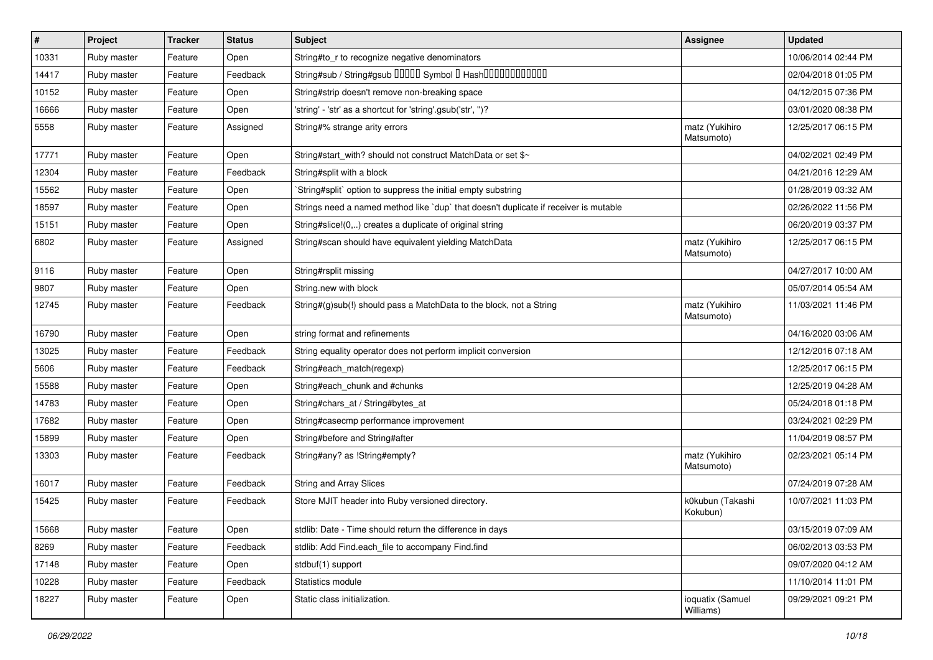| $\vert$ # | Project     | <b>Tracker</b> | <b>Status</b> | Subject                                                                              | <b>Assignee</b>               | <b>Updated</b>      |
|-----------|-------------|----------------|---------------|--------------------------------------------------------------------------------------|-------------------------------|---------------------|
| 10331     | Ruby master | Feature        | Open          | String#to_r to recognize negative denominators                                       |                               | 10/06/2014 02:44 PM |
| 14417     | Ruby master | Feature        | Feedback      | String#sub / String#gsub 00000 Symbol 0 Hash000000000000                             |                               | 02/04/2018 01:05 PM |
| 10152     | Ruby master | Feature        | Open          | String#strip doesn't remove non-breaking space                                       |                               | 04/12/2015 07:36 PM |
| 16666     | Ruby master | Feature        | Open          | 'string' - 'str' as a shortcut for 'string'.gsub('str', ")?                          |                               | 03/01/2020 08:38 PM |
| 5558      | Ruby master | Feature        | Assigned      | String#% strange arity errors                                                        | matz (Yukihiro<br>Matsumoto)  | 12/25/2017 06:15 PM |
| 17771     | Ruby master | Feature        | Open          | String#start_with? should not construct MatchData or set \$~                         |                               | 04/02/2021 02:49 PM |
| 12304     | Ruby master | Feature        | Feedback      | String#split with a block                                                            |                               | 04/21/2016 12:29 AM |
| 15562     | Ruby master | Feature        | Open          | String#split` option to suppress the initial empty substring                         |                               | 01/28/2019 03:32 AM |
| 18597     | Ruby master | Feature        | Open          | Strings need a named method like 'dup' that doesn't duplicate if receiver is mutable |                               | 02/26/2022 11:56 PM |
| 15151     | Ruby master | Feature        | Open          | String#slice!(0,) creates a duplicate of original string                             |                               | 06/20/2019 03:37 PM |
| 6802      | Ruby master | Feature        | Assigned      | String#scan should have equivalent yielding MatchData                                | matz (Yukihiro<br>Matsumoto)  | 12/25/2017 06:15 PM |
| 9116      | Ruby master | Feature        | Open          | String#rsplit missing                                                                |                               | 04/27/2017 10:00 AM |
| 9807      | Ruby master | Feature        | Open          | String.new with block                                                                |                               | 05/07/2014 05:54 AM |
| 12745     | Ruby master | Feature        | Feedback      | String#(g)sub(!) should pass a MatchData to the block, not a String                  | matz (Yukihiro<br>Matsumoto)  | 11/03/2021 11:46 PM |
| 16790     | Ruby master | Feature        | Open          | string format and refinements                                                        |                               | 04/16/2020 03:06 AM |
| 13025     | Ruby master | Feature        | Feedback      | String equality operator does not perform implicit conversion                        |                               | 12/12/2016 07:18 AM |
| 5606      | Ruby master | Feature        | Feedback      | String#each_match(regexp)                                                            |                               | 12/25/2017 06:15 PM |
| 15588     | Ruby master | Feature        | Open          | String#each_chunk and #chunks                                                        |                               | 12/25/2019 04:28 AM |
| 14783     | Ruby master | Feature        | Open          | String#chars_at / String#bytes_at                                                    |                               | 05/24/2018 01:18 PM |
| 17682     | Ruby master | Feature        | Open          | String#casecmp performance improvement                                               |                               | 03/24/2021 02:29 PM |
| 15899     | Ruby master | Feature        | Open          | String#before and String#after                                                       |                               | 11/04/2019 08:57 PM |
| 13303     | Ruby master | Feature        | Feedback      | String#any? as !String#empty?                                                        | matz (Yukihiro<br>Matsumoto)  | 02/23/2021 05:14 PM |
| 16017     | Ruby master | Feature        | Feedback      | <b>String and Array Slices</b>                                                       |                               | 07/24/2019 07:28 AM |
| 15425     | Ruby master | Feature        | Feedback      | Store MJIT header into Ruby versioned directory.                                     | k0kubun (Takashi<br>Kokubun)  | 10/07/2021 11:03 PM |
| 15668     | Ruby master | Feature        | Open          | stdlib: Date - Time should return the difference in days                             |                               | 03/15/2019 07:09 AM |
| 8269      | Ruby master | Feature        | Feedback      | stdlib: Add Find.each file to accompany Find.find                                    |                               | 06/02/2013 03:53 PM |
| 17148     | Ruby master | Feature        | Open          | stdbuf(1) support                                                                    |                               | 09/07/2020 04:12 AM |
| 10228     | Ruby master | Feature        | Feedback      | Statistics module                                                                    |                               | 11/10/2014 11:01 PM |
| 18227     | Ruby master | Feature        | Open          | Static class initialization.                                                         | ioquatix (Samuel<br>Williams) | 09/29/2021 09:21 PM |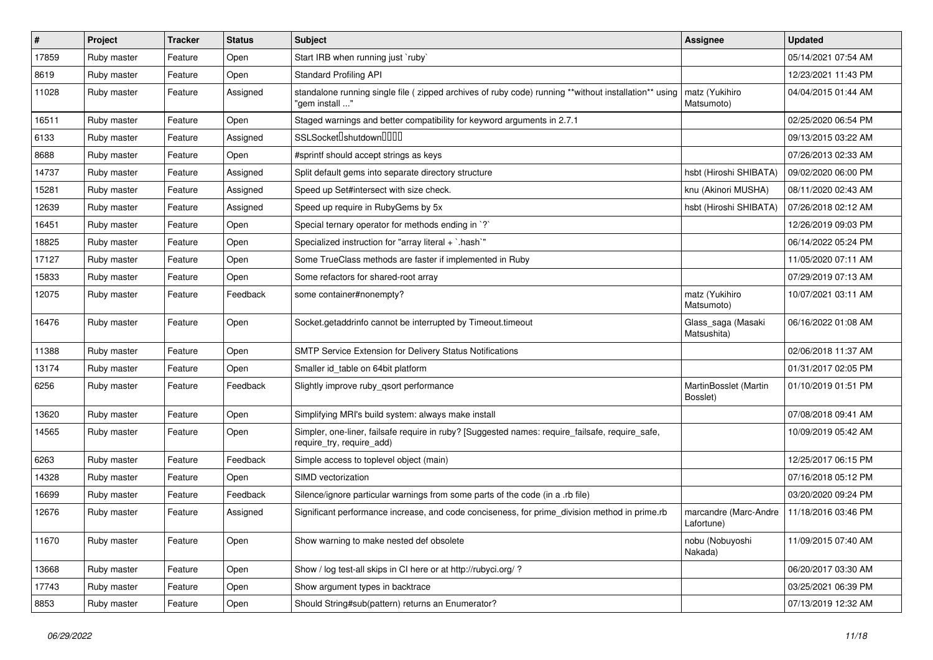| #     | Project     | <b>Tracker</b> | <b>Status</b> | Subject                                                                                                                      | Assignee                            | <b>Updated</b>      |
|-------|-------------|----------------|---------------|------------------------------------------------------------------------------------------------------------------------------|-------------------------------------|---------------------|
| 17859 | Ruby master | Feature        | Open          | Start IRB when running just `ruby`                                                                                           |                                     | 05/14/2021 07:54 AM |
| 8619  | Ruby master | Feature        | Open          | <b>Standard Profiling API</b>                                                                                                |                                     | 12/23/2021 11:43 PM |
| 11028 | Ruby master | Feature        | Assigned      | standalone running single file ( zipped archives of ruby code) running **without installation** using<br>"gem install "      | matz (Yukihiro<br>Matsumoto)        | 04/04/2015 01:44 AM |
| 16511 | Ruby master | Feature        | Open          | Staged warnings and better compatibility for keyword arguments in 2.7.1                                                      |                                     | 02/25/2020 06:54 PM |
| 6133  | Ruby master | Feature        | Assigned      | SSLSocket <sup>[</sup> shutdown <sup>[11]</sup>                                                                              |                                     | 09/13/2015 03:22 AM |
| 8688  | Ruby master | Feature        | Open          | #sprintf should accept strings as keys                                                                                       |                                     | 07/26/2013 02:33 AM |
| 14737 | Ruby master | Feature        | Assigned      | Split default gems into separate directory structure                                                                         | hsbt (Hiroshi SHIBATA)              | 09/02/2020 06:00 PM |
| 15281 | Ruby master | Feature        | Assigned      | Speed up Set#intersect with size check.                                                                                      | knu (Akinori MUSHA)                 | 08/11/2020 02:43 AM |
| 12639 | Ruby master | Feature        | Assigned      | Speed up require in RubyGems by 5x                                                                                           | hsbt (Hiroshi SHIBATA)              | 07/26/2018 02:12 AM |
| 16451 | Ruby master | Feature        | Open          | Special ternary operator for methods ending in `?`                                                                           |                                     | 12/26/2019 09:03 PM |
| 18825 | Ruby master | Feature        | Open          | Specialized instruction for "array literal + `.hash`"                                                                        |                                     | 06/14/2022 05:24 PM |
| 17127 | Ruby master | Feature        | Open          | Some TrueClass methods are faster if implemented in Ruby                                                                     |                                     | 11/05/2020 07:11 AM |
| 15833 | Ruby master | Feature        | Open          | Some refactors for shared-root array                                                                                         |                                     | 07/29/2019 07:13 AM |
| 12075 | Ruby master | Feature        | Feedback      | some container#nonempty?                                                                                                     | matz (Yukihiro<br>Matsumoto)        | 10/07/2021 03:11 AM |
| 16476 | Ruby master | Feature        | Open          | Socket.getaddrinfo cannot be interrupted by Timeout.timeout                                                                  | Glass_saga (Masaki<br>Matsushita)   | 06/16/2022 01:08 AM |
| 11388 | Ruby master | Feature        | Open          | <b>SMTP Service Extension for Delivery Status Notifications</b>                                                              |                                     | 02/06/2018 11:37 AM |
| 13174 | Ruby master | Feature        | Open          | Smaller id table on 64bit platform                                                                                           |                                     | 01/31/2017 02:05 PM |
| 6256  | Ruby master | Feature        | Feedback      | Slightly improve ruby_qsort performance                                                                                      | MartinBosslet (Martin<br>Bosslet)   | 01/10/2019 01:51 PM |
| 13620 | Ruby master | Feature        | Open          | Simplifying MRI's build system: always make install                                                                          |                                     | 07/08/2018 09:41 AM |
| 14565 | Ruby master | Feature        | Open          | Simpler, one-liner, failsafe require in ruby? [Suggested names: require_failsafe, require_safe,<br>require_try, require_add) |                                     | 10/09/2019 05:42 AM |
| 6263  | Ruby master | Feature        | Feedback      | Simple access to toplevel object (main)                                                                                      |                                     | 12/25/2017 06:15 PM |
| 14328 | Ruby master | Feature        | Open          | SIMD vectorization                                                                                                           |                                     | 07/16/2018 05:12 PM |
| 16699 | Ruby master | Feature        | Feedback      | Silence/ignore particular warnings from some parts of the code (in a .rb file)                                               |                                     | 03/20/2020 09:24 PM |
| 12676 | Ruby master | Feature        | Assigned      | Significant performance increase, and code conciseness, for prime_division method in prime.rb                                | marcandre (Marc-Andre<br>Lafortune) | 11/18/2016 03:46 PM |
| 11670 | Ruby master | Feature        | Open          | Show warning to make nested def obsolete                                                                                     | nobu (Nobuyoshi<br>Nakada)          | 11/09/2015 07:40 AM |
| 13668 | Ruby master | Feature        | Open          | Show / log test-all skips in CI here or at http://rubyci.org/?                                                               |                                     | 06/20/2017 03:30 AM |
| 17743 | Ruby master | Feature        | Open          | Show argument types in backtrace                                                                                             |                                     | 03/25/2021 06:39 PM |
| 8853  | Ruby master | Feature        | Open          | Should String#sub(pattern) returns an Enumerator?                                                                            |                                     | 07/13/2019 12:32 AM |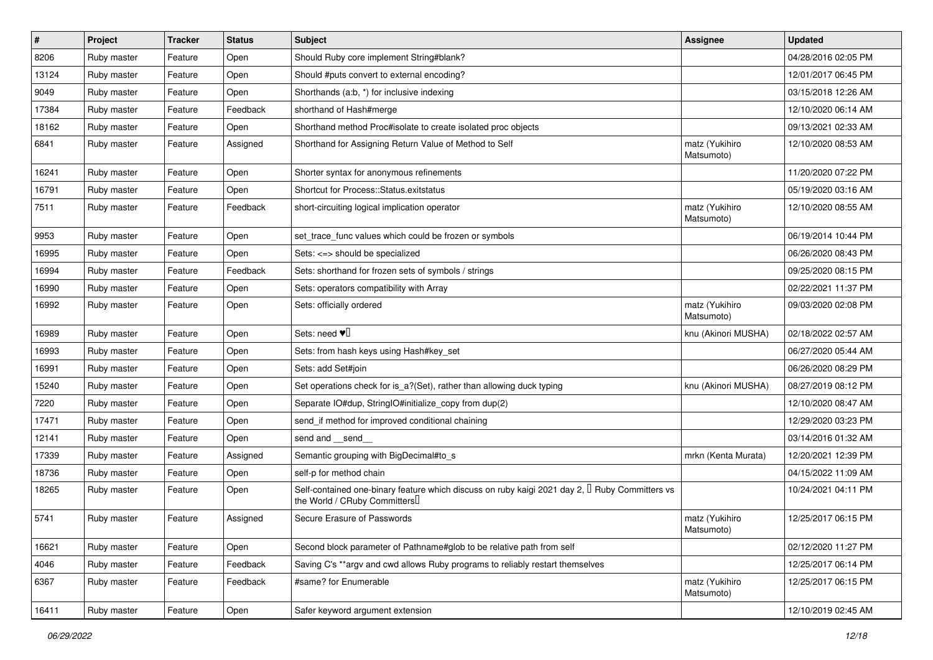| #     | Project     | <b>Tracker</b> | <b>Status</b> | Subject                                                                                                                                    | Assignee                     | <b>Updated</b>      |
|-------|-------------|----------------|---------------|--------------------------------------------------------------------------------------------------------------------------------------------|------------------------------|---------------------|
| 8206  | Ruby master | Feature        | Open          | Should Ruby core implement String#blank?                                                                                                   |                              | 04/28/2016 02:05 PM |
| 13124 | Ruby master | Feature        | Open          | Should #puts convert to external encoding?                                                                                                 |                              | 12/01/2017 06:45 PM |
| 9049  | Ruby master | Feature        | Open          | Shorthands (a:b, *) for inclusive indexing                                                                                                 |                              | 03/15/2018 12:26 AM |
| 17384 | Ruby master | Feature        | Feedback      | shorthand of Hash#merge                                                                                                                    |                              | 12/10/2020 06:14 AM |
| 18162 | Ruby master | Feature        | Open          | Shorthand method Proc#isolate to create isolated proc objects                                                                              |                              | 09/13/2021 02:33 AM |
| 6841  | Ruby master | Feature        | Assigned      | Shorthand for Assigning Return Value of Method to Self                                                                                     | matz (Yukihiro<br>Matsumoto) | 12/10/2020 08:53 AM |
| 16241 | Ruby master | Feature        | Open          | Shorter syntax for anonymous refinements                                                                                                   |                              | 11/20/2020 07:22 PM |
| 16791 | Ruby master | Feature        | Open          | Shortcut for Process::Status.exitstatus                                                                                                    |                              | 05/19/2020 03:16 AM |
| 7511  | Ruby master | Feature        | Feedback      | short-circuiting logical implication operator                                                                                              | matz (Yukihiro<br>Matsumoto) | 12/10/2020 08:55 AM |
| 9953  | Ruby master | Feature        | Open          | set_trace_func values which could be frozen or symbols                                                                                     |                              | 06/19/2014 10:44 PM |
| 16995 | Ruby master | Feature        | Open          | Sets: <=> should be specialized                                                                                                            |                              | 06/26/2020 08:43 PM |
| 16994 | Ruby master | Feature        | Feedback      | Sets: shorthand for frozen sets of symbols / strings                                                                                       |                              | 09/25/2020 08:15 PM |
| 16990 | Ruby master | Feature        | Open          | Sets: operators compatibility with Array                                                                                                   |                              | 02/22/2021 11:37 PM |
| 16992 | Ruby master | Feature        | Open          | Sets: officially ordered                                                                                                                   | matz (Yukihiro<br>Matsumoto) | 09/03/2020 02:08 PM |
| 16989 | Ruby master | Feature        | Open          | Sets: need $\Psi$                                                                                                                          | knu (Akinori MUSHA)          | 02/18/2022 02:57 AM |
| 16993 | Ruby master | Feature        | Open          | Sets: from hash keys using Hash#key_set                                                                                                    |                              | 06/27/2020 05:44 AM |
| 16991 | Ruby master | Feature        | Open          | Sets: add Set#join                                                                                                                         |                              | 06/26/2020 08:29 PM |
| 15240 | Ruby master | Feature        | Open          | Set operations check for is a?(Set), rather than allowing duck typing                                                                      | knu (Akinori MUSHA)          | 08/27/2019 08:12 PM |
| 7220  | Ruby master | Feature        | Open          | Separate IO#dup, StringIO#initialize_copy from dup(2)                                                                                      |                              | 12/10/2020 08:47 AM |
| 17471 | Ruby master | Feature        | Open          | send_if method for improved conditional chaining                                                                                           |                              | 12/29/2020 03:23 PM |
| 12141 | Ruby master | Feature        | Open          | send and send                                                                                                                              |                              | 03/14/2016 01:32 AM |
| 17339 | Ruby master | Feature        | Assigned      | Semantic grouping with BigDecimal#to_s                                                                                                     | mrkn (Kenta Murata)          | 12/20/2021 12:39 PM |
| 18736 | Ruby master | Feature        | Open          | self-p for method chain                                                                                                                    |                              | 04/15/2022 11:09 AM |
| 18265 | Ruby master | Feature        | Open          | Self-contained one-binary feature which discuss on ruby kaigi 2021 day 2, <sup>[]</sup> Ruby Committers vs<br>the World / CRuby Committers |                              | 10/24/2021 04:11 PM |
| 5741  | Ruby master | Feature        | Assigned      | Secure Erasure of Passwords                                                                                                                | matz (Yukihiro<br>Matsumoto) | 12/25/2017 06:15 PM |
| 16621 | Ruby master | Feature        | Open          | Second block parameter of Pathname#glob to be relative path from self                                                                      |                              | 02/12/2020 11:27 PM |
| 4046  | Ruby master | Feature        | Feedback      | Saving C's **argv and cwd allows Ruby programs to reliably restart themselves                                                              |                              | 12/25/2017 06:14 PM |
| 6367  | Ruby master | Feature        | Feedback      | #same? for Enumerable                                                                                                                      | matz (Yukihiro<br>Matsumoto) | 12/25/2017 06:15 PM |
| 16411 | Ruby master | Feature        | Open          | Safer keyword argument extension                                                                                                           |                              | 12/10/2019 02:45 AM |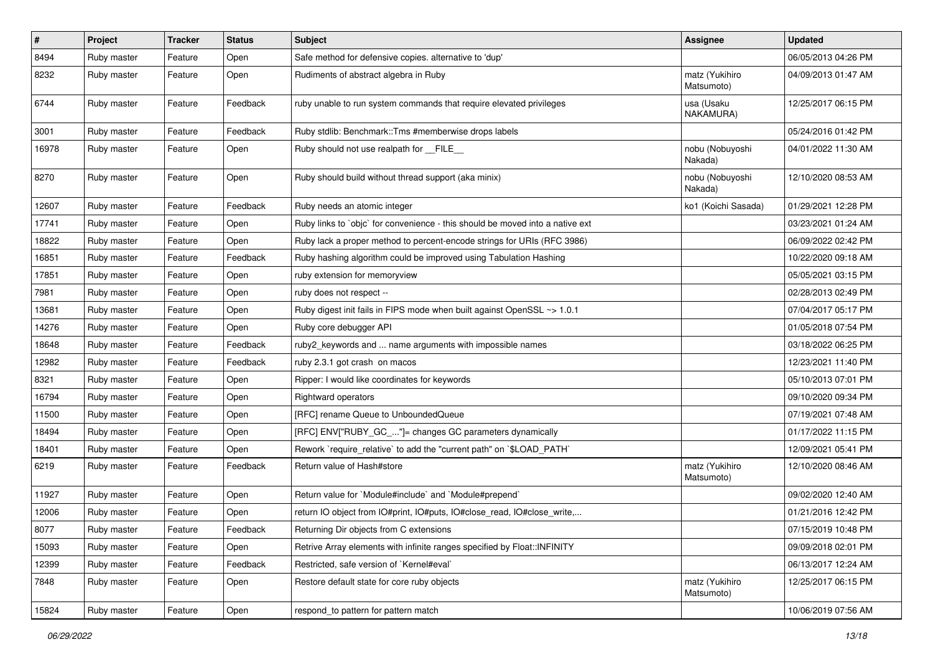| $\sharp$ | <b>Project</b> | <b>Tracker</b> | <b>Status</b> | Subject                                                                       | <b>Assignee</b>              | <b>Updated</b>      |
|----------|----------------|----------------|---------------|-------------------------------------------------------------------------------|------------------------------|---------------------|
| 8494     | Ruby master    | Feature        | Open          | Safe method for defensive copies. alternative to 'dup'                        |                              | 06/05/2013 04:26 PM |
| 8232     | Ruby master    | Feature        | Open          | Rudiments of abstract algebra in Ruby                                         | matz (Yukihiro<br>Matsumoto) | 04/09/2013 01:47 AM |
| 6744     | Ruby master    | Feature        | Feedback      | ruby unable to run system commands that require elevated privileges           | usa (Usaku<br>NAKAMURA)      | 12/25/2017 06:15 PM |
| 3001     | Ruby master    | Feature        | Feedback      | Ruby stdlib: Benchmark:: Tms #memberwise drops labels                         |                              | 05/24/2016 01:42 PM |
| 16978    | Ruby master    | Feature        | Open          | Ruby should not use realpath for __FILE__                                     | nobu (Nobuyoshi<br>Nakada)   | 04/01/2022 11:30 AM |
| 8270     | Ruby master    | Feature        | Open          | Ruby should build without thread support (aka minix)                          | nobu (Nobuyoshi<br>Nakada)   | 12/10/2020 08:53 AM |
| 12607    | Ruby master    | Feature        | Feedback      | Ruby needs an atomic integer                                                  | ko1 (Koichi Sasada)          | 01/29/2021 12:28 PM |
| 17741    | Ruby master    | Feature        | Open          | Ruby links to `objc` for convenience - this should be moved into a native ext |                              | 03/23/2021 01:24 AM |
| 18822    | Ruby master    | Feature        | Open          | Ruby lack a proper method to percent-encode strings for URIs (RFC 3986)       |                              | 06/09/2022 02:42 PM |
| 16851    | Ruby master    | Feature        | Feedback      | Ruby hashing algorithm could be improved using Tabulation Hashing             |                              | 10/22/2020 09:18 AM |
| 17851    | Ruby master    | Feature        | Open          | ruby extension for memoryview                                                 |                              | 05/05/2021 03:15 PM |
| 7981     | Ruby master    | Feature        | Open          | ruby does not respect --                                                      |                              | 02/28/2013 02:49 PM |
| 13681    | Ruby master    | Feature        | Open          | Ruby digest init fails in FIPS mode when built against OpenSSL ~> 1.0.1       |                              | 07/04/2017 05:17 PM |
| 14276    | Ruby master    | Feature        | Open          | Ruby core debugger API                                                        |                              | 01/05/2018 07:54 PM |
| 18648    | Ruby master    | Feature        | Feedback      | ruby2_keywords and  name arguments with impossible names                      |                              | 03/18/2022 06:25 PM |
| 12982    | Ruby master    | Feature        | Feedback      | ruby 2.3.1 got crash on macos                                                 |                              | 12/23/2021 11:40 PM |
| 8321     | Ruby master    | Feature        | Open          | Ripper: I would like coordinates for keywords                                 |                              | 05/10/2013 07:01 PM |
| 16794    | Ruby master    | Feature        | Open          | Rightward operators                                                           |                              | 09/10/2020 09:34 PM |
| 11500    | Ruby master    | Feature        | Open          | [RFC] rename Queue to UnboundedQueue                                          |                              | 07/19/2021 07:48 AM |
| 18494    | Ruby master    | Feature        | Open          | [RFC] ENV["RUBY_GC_"]= changes GC parameters dynamically                      |                              | 01/17/2022 11:15 PM |
| 18401    | Ruby master    | Feature        | Open          | Rework `require_relative` to add the "current path" on `\$LOAD_PATH`          |                              | 12/09/2021 05:41 PM |
| 6219     | Ruby master    | Feature        | Feedback      | Return value of Hash#store                                                    | matz (Yukihiro<br>Matsumoto) | 12/10/2020 08:46 AM |
| 11927    | Ruby master    | Feature        | Open          | Return value for `Module#include` and `Module#prepend`                        |                              | 09/02/2020 12:40 AM |
| 12006    | Ruby master    | Feature        | Open          | return IO object from IO#print, IO#puts, IO#close_read, IO#close_write,       |                              | 01/21/2016 12:42 PM |
| 8077     | Ruby master    | Feature        | Feedback      | Returning Dir objects from C extensions                                       |                              | 07/15/2019 10:48 PM |
| 15093    | Ruby master    | Feature        | Open          | Retrive Array elements with infinite ranges specified by Float::INFINITY      |                              | 09/09/2018 02:01 PM |
| 12399    | Ruby master    | Feature        | Feedback      | Restricted, safe version of `Kernel#eval`                                     |                              | 06/13/2017 12:24 AM |
| 7848     | Ruby master    | Feature        | Open          | Restore default state for core ruby objects                                   | matz (Yukihiro<br>Matsumoto) | 12/25/2017 06:15 PM |
| 15824    | Ruby master    | Feature        | Open          | respond to pattern for pattern match                                          |                              | 10/06/2019 07:56 AM |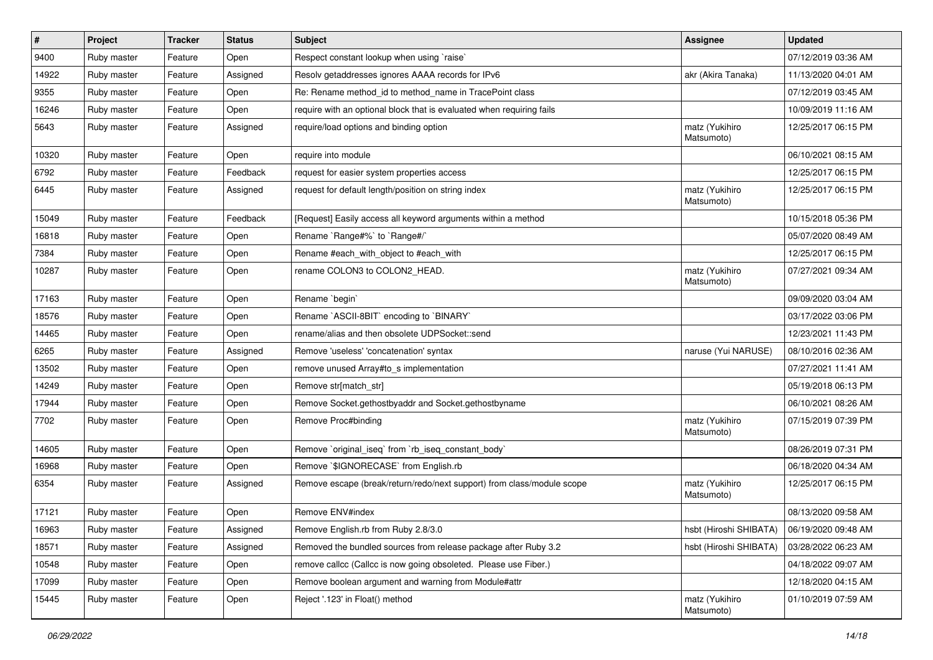| $\sharp$ | <b>Project</b> | <b>Tracker</b> | <b>Status</b> | <b>Subject</b>                                                         | <b>Assignee</b>              | <b>Updated</b>      |
|----------|----------------|----------------|---------------|------------------------------------------------------------------------|------------------------------|---------------------|
| 9400     | Ruby master    | Feature        | Open          | Respect constant lookup when using `raise`                             |                              | 07/12/2019 03:36 AM |
| 14922    | Ruby master    | Feature        | Assigned      | Resolv getaddresses ignores AAAA records for IPv6                      | akr (Akira Tanaka)           | 11/13/2020 04:01 AM |
| 9355     | Ruby master    | Feature        | Open          | Re: Rename method_id to method_name in TracePoint class                |                              | 07/12/2019 03:45 AM |
| 16246    | Ruby master    | Feature        | Open          | require with an optional block that is evaluated when requiring fails  |                              | 10/09/2019 11:16 AM |
| 5643     | Ruby master    | Feature        | Assigned      | require/load options and binding option                                | matz (Yukihiro<br>Matsumoto) | 12/25/2017 06:15 PM |
| 10320    | Ruby master    | Feature        | Open          | require into module                                                    |                              | 06/10/2021 08:15 AM |
| 6792     | Ruby master    | Feature        | Feedback      | request for easier system properties access                            |                              | 12/25/2017 06:15 PM |
| 6445     | Ruby master    | Feature        | Assigned      | request for default length/position on string index                    | matz (Yukihiro<br>Matsumoto) | 12/25/2017 06:15 PM |
| 15049    | Ruby master    | Feature        | Feedback      | [Request] Easily access all keyword arguments within a method          |                              | 10/15/2018 05:36 PM |
| 16818    | Ruby master    | Feature        | Open          | Rename `Range#%` to `Range#/`                                          |                              | 05/07/2020 08:49 AM |
| 7384     | Ruby master    | Feature        | Open          | Rename #each_with_object to #each_with                                 |                              | 12/25/2017 06:15 PM |
| 10287    | Ruby master    | Feature        | Open          | rename COLON3 to COLON2_HEAD.                                          | matz (Yukihiro<br>Matsumoto) | 07/27/2021 09:34 AM |
| 17163    | Ruby master    | Feature        | Open          | Rename `begin`                                                         |                              | 09/09/2020 03:04 AM |
| 18576    | Ruby master    | Feature        | Open          | Rename `ASCII-8BIT` encoding to `BINARY`                               |                              | 03/17/2022 03:06 PM |
| 14465    | Ruby master    | Feature        | Open          | rename/alias and then obsolete UDPSocket::send                         |                              | 12/23/2021 11:43 PM |
| 6265     | Ruby master    | Feature        | Assigned      | Remove 'useless' 'concatenation' syntax                                | naruse (Yui NARUSE)          | 08/10/2016 02:36 AM |
| 13502    | Ruby master    | Feature        | Open          | remove unused Array#to_s implementation                                |                              | 07/27/2021 11:41 AM |
| 14249    | Ruby master    | Feature        | Open          | Remove str[match_str]                                                  |                              | 05/19/2018 06:13 PM |
| 17944    | Ruby master    | Feature        | Open          | Remove Socket.gethostbyaddr and Socket.gethostbyname                   |                              | 06/10/2021 08:26 AM |
| 7702     | Ruby master    | Feature        | Open          | Remove Proc#binding                                                    | matz (Yukihiro<br>Matsumoto) | 07/15/2019 07:39 PM |
| 14605    | Ruby master    | Feature        | Open          | Remove `original_iseq` from `rb_iseq_constant_body`                    |                              | 08/26/2019 07:31 PM |
| 16968    | Ruby master    | Feature        | Open          | Remove `\$IGNORECASE` from English.rb                                  |                              | 06/18/2020 04:34 AM |
| 6354     | Ruby master    | Feature        | Assigned      | Remove escape (break/return/redo/next support) from class/module scope | matz (Yukihiro<br>Matsumoto) | 12/25/2017 06:15 PM |
| 17121    | Ruby master    | Feature        | Open          | Remove ENV#index                                                       |                              | 08/13/2020 09:58 AM |
| 16963    | Ruby master    | Feature        | Assigned      | Remove English.rb from Ruby 2.8/3.0                                    | hsbt (Hiroshi SHIBATA)       | 06/19/2020 09:48 AM |
| 18571    | Ruby master    | Feature        | Assigned      | Removed the bundled sources from release package after Ruby 3.2        | hsbt (Hiroshi SHIBATA)       | 03/28/2022 06:23 AM |
| 10548    | Ruby master    | Feature        | Open          | remove callcc (Callcc is now going obsoleted. Please use Fiber.)       |                              | 04/18/2022 09:07 AM |
| 17099    | Ruby master    | Feature        | Open          | Remove boolean argument and warning from Module#attr                   |                              | 12/18/2020 04:15 AM |
| 15445    | Ruby master    | Feature        | Open          | Reject '.123' in Float() method                                        | matz (Yukihiro<br>Matsumoto) | 01/10/2019 07:59 AM |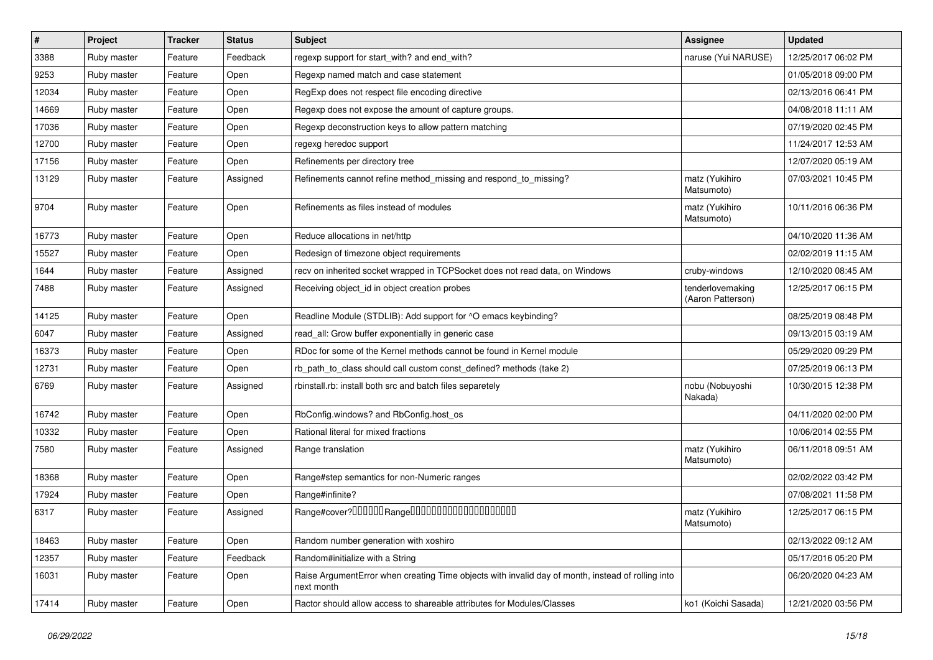| $\vert$ # | Project     | <b>Tracker</b> | <b>Status</b> | Subject                                                                                                         | Assignee                              | <b>Updated</b>      |
|-----------|-------------|----------------|---------------|-----------------------------------------------------------------------------------------------------------------|---------------------------------------|---------------------|
| 3388      | Ruby master | Feature        | Feedback      | regexp support for start_with? and end_with?                                                                    | naruse (Yui NARUSE)                   | 12/25/2017 06:02 PM |
| 9253      | Ruby master | Feature        | Open          | Regexp named match and case statement                                                                           |                                       | 01/05/2018 09:00 PM |
| 12034     | Ruby master | Feature        | Open          | RegExp does not respect file encoding directive                                                                 |                                       | 02/13/2016 06:41 PM |
| 14669     | Ruby master | Feature        | Open          | Regexp does not expose the amount of capture groups.                                                            |                                       | 04/08/2018 11:11 AM |
| 17036     | Ruby master | Feature        | Open          | Regexp deconstruction keys to allow pattern matching                                                            |                                       | 07/19/2020 02:45 PM |
| 12700     | Ruby master | Feature        | Open          | regexg heredoc support                                                                                          |                                       | 11/24/2017 12:53 AM |
| 17156     | Ruby master | Feature        | Open          | Refinements per directory tree                                                                                  |                                       | 12/07/2020 05:19 AM |
| 13129     | Ruby master | Feature        | Assigned      | Refinements cannot refine method_missing and respond_to_missing?                                                | matz (Yukihiro<br>Matsumoto)          | 07/03/2021 10:45 PM |
| 9704      | Ruby master | Feature        | Open          | Refinements as files instead of modules                                                                         | matz (Yukihiro<br>Matsumoto)          | 10/11/2016 06:36 PM |
| 16773     | Ruby master | Feature        | Open          | Reduce allocations in net/http                                                                                  |                                       | 04/10/2020 11:36 AM |
| 15527     | Ruby master | Feature        | Open          | Redesign of timezone object requirements                                                                        |                                       | 02/02/2019 11:15 AM |
| 1644      | Ruby master | Feature        | Assigned      | recv on inherited socket wrapped in TCPSocket does not read data, on Windows                                    | cruby-windows                         | 12/10/2020 08:45 AM |
| 7488      | Ruby master | Feature        | Assigned      | Receiving object_id in object creation probes                                                                   | tenderlovemaking<br>(Aaron Patterson) | 12/25/2017 06:15 PM |
| 14125     | Ruby master | Feature        | Open          | Readline Module (STDLIB): Add support for ^O emacs keybinding?                                                  |                                       | 08/25/2019 08:48 PM |
| 6047      | Ruby master | Feature        | Assigned      | read_all: Grow buffer exponentially in generic case                                                             |                                       | 09/13/2015 03:19 AM |
| 16373     | Ruby master | Feature        | Open          | RDoc for some of the Kernel methods cannot be found in Kernel module                                            |                                       | 05/29/2020 09:29 PM |
| 12731     | Ruby master | Feature        | Open          | rb_path_to_class should call custom const_defined? methods (take 2)                                             |                                       | 07/25/2019 06:13 PM |
| 6769      | Ruby master | Feature        | Assigned      | rbinstall.rb: install both src and batch files separetely                                                       | nobu (Nobuyoshi<br>Nakada)            | 10/30/2015 12:38 PM |
| 16742     | Ruby master | Feature        | Open          | RbConfig.windows? and RbConfig.host_os                                                                          |                                       | 04/11/2020 02:00 PM |
| 10332     | Ruby master | Feature        | Open          | Rational literal for mixed fractions                                                                            |                                       | 10/06/2014 02:55 PM |
| 7580      | Ruby master | Feature        | Assigned      | Range translation                                                                                               | matz (Yukihiro<br>Matsumoto)          | 06/11/2018 09:51 AM |
| 18368     | Ruby master | Feature        | Open          | Range#step semantics for non-Numeric ranges                                                                     |                                       | 02/02/2022 03:42 PM |
| 17924     | Ruby master | Feature        | Open          | Range#infinite?                                                                                                 |                                       | 07/08/2021 11:58 PM |
| 6317      | Ruby master | Feature        | Assigned      |                                                                                                                 | matz (Yukihiro<br>Matsumoto)          | 12/25/2017 06:15 PM |
| 18463     | Ruby master | Feature        | Open          | Random number generation with xoshiro                                                                           |                                       | 02/13/2022 09:12 AM |
| 12357     | Ruby master | Feature        | Feedback      | Random#initialize with a String                                                                                 |                                       | 05/17/2016 05:20 PM |
| 16031     | Ruby master | Feature        | Open          | Raise ArgumentError when creating Time objects with invalid day of month, instead of rolling into<br>next month |                                       | 06/20/2020 04:23 AM |
| 17414     | Ruby master | Feature        | Open          | Ractor should allow access to shareable attributes for Modules/Classes                                          | ko1 (Koichi Sasada)                   | 12/21/2020 03:56 PM |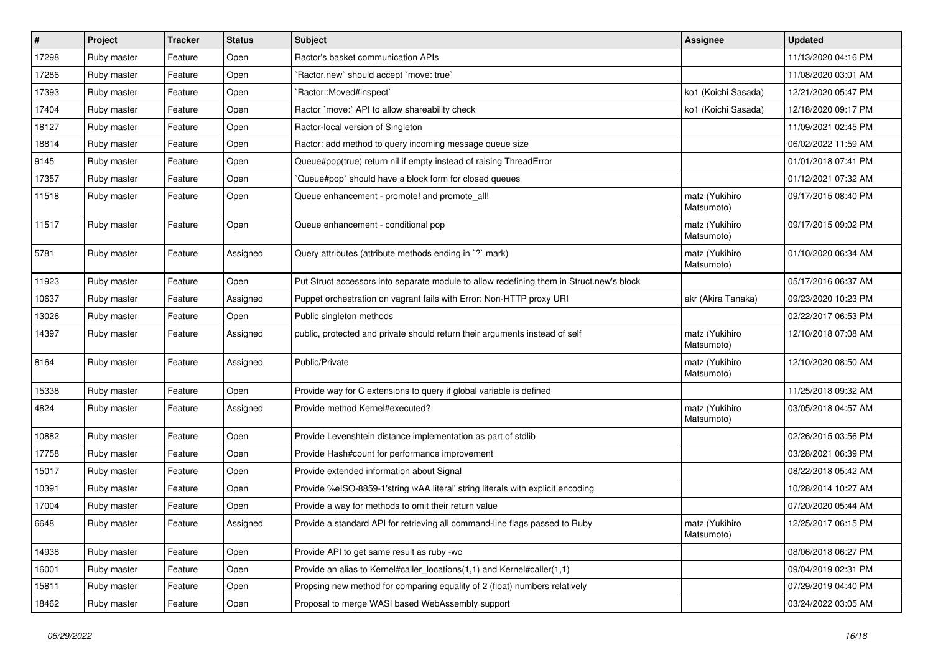| $\vert$ # | Project     | <b>Tracker</b> | <b>Status</b> | <b>Subject</b>                                                                           | Assignee                     | <b>Updated</b>      |
|-----------|-------------|----------------|---------------|------------------------------------------------------------------------------------------|------------------------------|---------------------|
| 17298     | Ruby master | Feature        | Open          | Ractor's basket communication APIs                                                       |                              | 11/13/2020 04:16 PM |
| 17286     | Ruby master | Feature        | Open          | Ractor.new' should accept 'move: true'                                                   |                              | 11/08/2020 03:01 AM |
| 17393     | Ruby master | Feature        | Open          | Ractor::Moved#inspect`                                                                   | ko1 (Koichi Sasada)          | 12/21/2020 05:47 PM |
| 17404     | Ruby master | Feature        | Open          | Ractor `move:` API to allow shareability check                                           | ko1 (Koichi Sasada)          | 12/18/2020 09:17 PM |
| 18127     | Ruby master | Feature        | Open          | Ractor-local version of Singleton                                                        |                              | 11/09/2021 02:45 PM |
| 18814     | Ruby master | Feature        | Open          | Ractor: add method to query incoming message queue size                                  |                              | 06/02/2022 11:59 AM |
| 9145      | Ruby master | Feature        | Open          | Queue#pop(true) return nil if empty instead of raising ThreadError                       |                              | 01/01/2018 07:41 PM |
| 17357     | Ruby master | Feature        | Open          | Queue#pop` should have a block form for closed queues                                    |                              | 01/12/2021 07:32 AM |
| 11518     | Ruby master | Feature        | Open          | Queue enhancement - promote! and promote_all!                                            | matz (Yukihiro<br>Matsumoto) | 09/17/2015 08:40 PM |
| 11517     | Ruby master | Feature        | Open          | Queue enhancement - conditional pop                                                      | matz (Yukihiro<br>Matsumoto) | 09/17/2015 09:02 PM |
| 5781      | Ruby master | Feature        | Assigned      | Query attributes (attribute methods ending in `?` mark)                                  | matz (Yukihiro<br>Matsumoto) | 01/10/2020 06:34 AM |
| 11923     | Ruby master | Feature        | Open          | Put Struct accessors into separate module to allow redefining them in Struct.new's block |                              | 05/17/2016 06:37 AM |
| 10637     | Ruby master | Feature        | Assigned      | Puppet orchestration on vagrant fails with Error: Non-HTTP proxy URI                     | akr (Akira Tanaka)           | 09/23/2020 10:23 PM |
| 13026     | Ruby master | Feature        | Open          | Public singleton methods                                                                 |                              | 02/22/2017 06:53 PM |
| 14397     | Ruby master | Feature        | Assigned      | public, protected and private should return their arguments instead of self              | matz (Yukihiro<br>Matsumoto) | 12/10/2018 07:08 AM |
| 8164      | Ruby master | Feature        | Assigned      | Public/Private                                                                           | matz (Yukihiro<br>Matsumoto) | 12/10/2020 08:50 AM |
| 15338     | Ruby master | Feature        | Open          | Provide way for C extensions to query if global variable is defined                      |                              | 11/25/2018 09:32 AM |
| 4824      | Ruby master | Feature        | Assigned      | Provide method Kernel#executed?                                                          | matz (Yukihiro<br>Matsumoto) | 03/05/2018 04:57 AM |
| 10882     | Ruby master | Feature        | Open          | Provide Levenshtein distance implementation as part of stdlib                            |                              | 02/26/2015 03:56 PM |
| 17758     | Ruby master | Feature        | Open          | Provide Hash#count for performance improvement                                           |                              | 03/28/2021 06:39 PM |
| 15017     | Ruby master | Feature        | Open          | Provide extended information about Signal                                                |                              | 08/22/2018 05:42 AM |
| 10391     | Ruby master | Feature        | Open          | Provide %eISO-8859-1'string \xAA literal' string literals with explicit encoding         |                              | 10/28/2014 10:27 AM |
| 17004     | Ruby master | Feature        | Open          | Provide a way for methods to omit their return value                                     |                              | 07/20/2020 05:44 AM |
| 6648      | Ruby master | Feature        | Assigned      | Provide a standard API for retrieving all command-line flags passed to Ruby              | matz (Yukihiro<br>Matsumoto) | 12/25/2017 06:15 PM |
| 14938     | Ruby master | Feature        | Open          | Provide API to get same result as ruby -wc                                               |                              | 08/06/2018 06:27 PM |
| 16001     | Ruby master | Feature        | Open          | Provide an alias to Kernel#caller_locations(1,1) and Kernel#caller(1,1)                  |                              | 09/04/2019 02:31 PM |
| 15811     | Ruby master | Feature        | Open          | Propsing new method for comparing equality of 2 (float) numbers relatively               |                              | 07/29/2019 04:40 PM |
| 18462     | Ruby master | Feature        | Open          | Proposal to merge WASI based WebAssembly support                                         |                              | 03/24/2022 03:05 AM |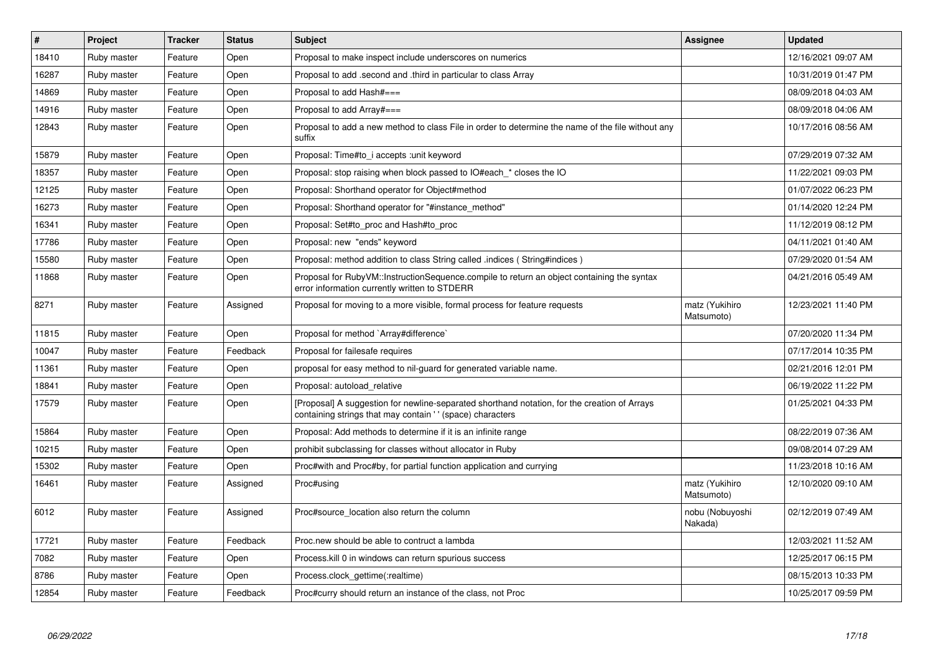| #     | Project     | <b>Tracker</b> | <b>Status</b> | <b>Subject</b>                                                                                                                                            | <b>Assignee</b>              | <b>Updated</b>      |
|-------|-------------|----------------|---------------|-----------------------------------------------------------------------------------------------------------------------------------------------------------|------------------------------|---------------------|
| 18410 | Ruby master | Feature        | Open          | Proposal to make inspect include underscores on numerics                                                                                                  |                              | 12/16/2021 09:07 AM |
| 16287 | Ruby master | Feature        | Open          | Proposal to add .second and .third in particular to class Array                                                                                           |                              | 10/31/2019 01:47 PM |
| 14869 | Ruby master | Feature        | Open          | Proposal to add Hash#===                                                                                                                                  |                              | 08/09/2018 04:03 AM |
| 14916 | Ruby master | Feature        | Open          | Proposal to add Array#===                                                                                                                                 |                              | 08/09/2018 04:06 AM |
| 12843 | Ruby master | Feature        | Open          | Proposal to add a new method to class File in order to determine the name of the file without any<br>suffix                                               |                              | 10/17/2016 08:56 AM |
| 15879 | Ruby master | Feature        | Open          | Proposal: Time#to i accepts : unit keyword                                                                                                                |                              | 07/29/2019 07:32 AM |
| 18357 | Ruby master | Feature        | Open          | Proposal: stop raising when block passed to IO#each_* closes the IO                                                                                       |                              | 11/22/2021 09:03 PM |
| 12125 | Ruby master | Feature        | Open          | Proposal: Shorthand operator for Object#method                                                                                                            |                              | 01/07/2022 06:23 PM |
| 16273 | Ruby master | Feature        | Open          | Proposal: Shorthand operator for "#instance method"                                                                                                       |                              | 01/14/2020 12:24 PM |
| 16341 | Ruby master | Feature        | Open          | Proposal: Set#to_proc and Hash#to_proc                                                                                                                    |                              | 11/12/2019 08:12 PM |
| 17786 | Ruby master | Feature        | Open          | Proposal: new "ends" keyword                                                                                                                              |                              | 04/11/2021 01:40 AM |
| 15580 | Ruby master | Feature        | Open          | Proposal: method addition to class String called .indices (String#indices)                                                                                |                              | 07/29/2020 01:54 AM |
| 11868 | Ruby master | Feature        | Open          | Proposal for RubyVM::InstructionSequence.compile to return an object containing the syntax<br>error information currently written to STDERR               |                              | 04/21/2016 05:49 AM |
| 8271  | Ruby master | Feature        | Assigned      | Proposal for moving to a more visible, formal process for feature requests                                                                                | matz (Yukihiro<br>Matsumoto) | 12/23/2021 11:40 PM |
| 11815 | Ruby master | Feature        | Open          | Proposal for method `Array#difference`                                                                                                                    |                              | 07/20/2020 11:34 PM |
| 10047 | Ruby master | Feature        | Feedback      | Proposal for failesafe requires                                                                                                                           |                              | 07/17/2014 10:35 PM |
| 11361 | Ruby master | Feature        | Open          | proposal for easy method to nil-guard for generated variable name.                                                                                        |                              | 02/21/2016 12:01 PM |
| 18841 | Ruby master | Feature        | Open          | Proposal: autoload_relative                                                                                                                               |                              | 06/19/2022 11:22 PM |
| 17579 | Ruby master | Feature        | Open          | [Proposal] A suggestion for newline-separated shorthand notation, for the creation of Arrays<br>containing strings that may contain '' (space) characters |                              | 01/25/2021 04:33 PM |
| 15864 | Ruby master | Feature        | Open          | Proposal: Add methods to determine if it is an infinite range                                                                                             |                              | 08/22/2019 07:36 AM |
| 10215 | Ruby master | Feature        | Open          | prohibit subclassing for classes without allocator in Ruby                                                                                                |                              | 09/08/2014 07:29 AM |
| 15302 | Ruby master | Feature        | Open          | Proc#with and Proc#by, for partial function application and currying                                                                                      |                              | 11/23/2018 10:16 AM |
| 16461 | Ruby master | Feature        | Assigned      | Proc#using                                                                                                                                                | matz (Yukihiro<br>Matsumoto) | 12/10/2020 09:10 AM |
| 6012  | Ruby master | Feature        | Assigned      | Proc#source_location also return the column                                                                                                               | nobu (Nobuyoshi<br>Nakada)   | 02/12/2019 07:49 AM |
| 17721 | Ruby master | Feature        | Feedback      | Proc.new should be able to contruct a lambda                                                                                                              |                              | 12/03/2021 11:52 AM |
| 7082  | Ruby master | Feature        | Open          | Process. kill 0 in windows can return spurious success                                                                                                    |                              | 12/25/2017 06:15 PM |
| 8786  | Ruby master | Feature        | Open          | Process.clock_gettime(:realtime)                                                                                                                          |                              | 08/15/2013 10:33 PM |
| 12854 | Ruby master | Feature        | Feedback      | Proc#curry should return an instance of the class, not Proc                                                                                               |                              | 10/25/2017 09:59 PM |